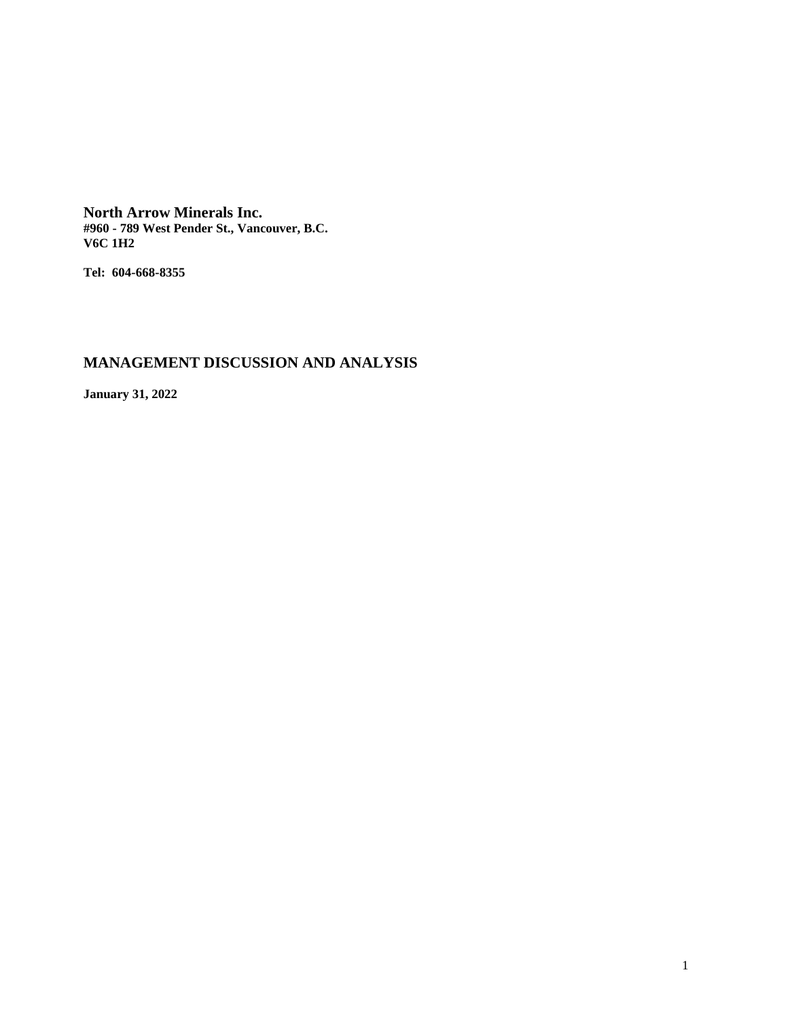**North Arrow Minerals Inc. #960 - 789 West Pender St., Vancouver, B.C. V6C 1H2**

**Tel: 604-668-8355**

# **MANAGEMENT DISCUSSION AND ANALYSIS**

**January 31, 2022**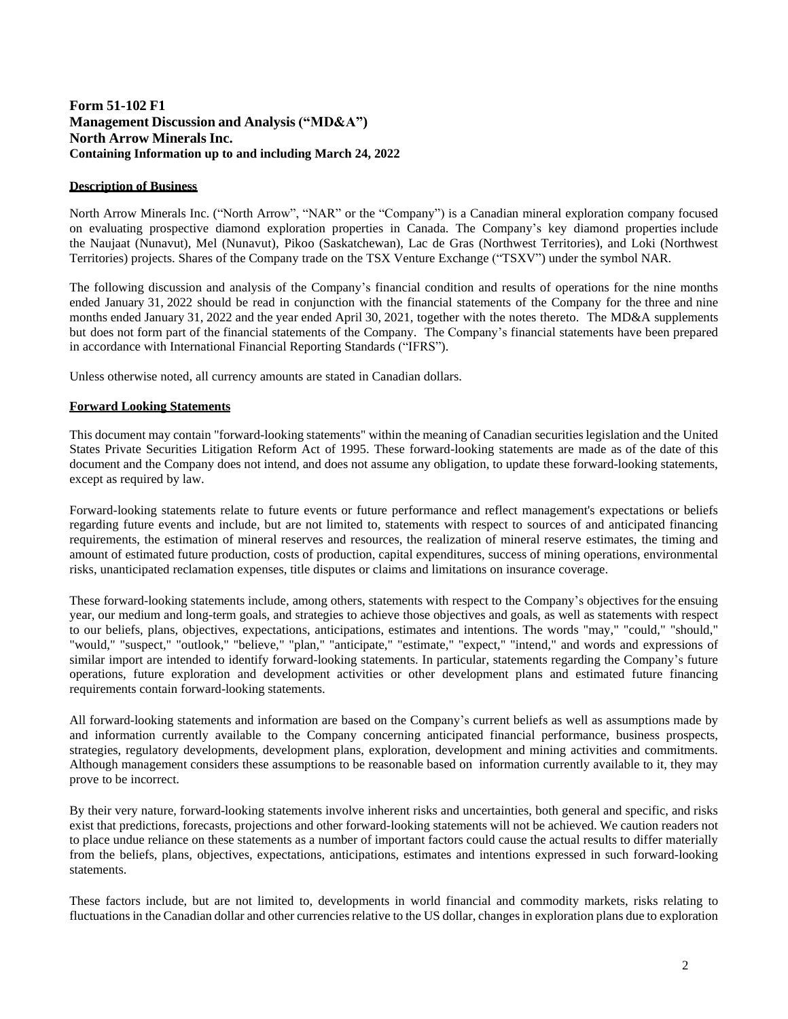# **Form 51-102 F1 Management Discussion and Analysis ("MD&A") North Arrow Minerals Inc. Containing Information up to and including March 24, 2022**

## **Description of Business**

North Arrow Minerals Inc. ("North Arrow", "NAR" or the "Company") is a Canadian mineral exploration company focused on evaluating prospective diamond exploration properties in Canada. The Company's key diamond properties include the Naujaat (Nunavut), Mel (Nunavut), Pikoo (Saskatchewan), Lac de Gras (Northwest Territories), and Loki (Northwest Territories) projects. Shares of the Company trade on the TSX Venture Exchange ("TSXV") under the symbol NAR.

The following discussion and analysis of the Company's financial condition and results of operations for the nine months ended January 31, 2022 should be read in conjunction with the financial statements of the Company for the three and nine months ended January 31, 2022 and the year ended April 30, 2021, together with the notes thereto. The MD&A supplements but does not form part of the financial statements of the Company. The Company's financial statements have been prepared in accordance with International Financial Reporting Standards ("IFRS").

Unless otherwise noted, all currency amounts are stated in Canadian dollars.

## **Forward Looking Statements**

This document may contain "forward-looking statements" within the meaning of Canadian securities legislation and the United States Private Securities Litigation Reform Act of 1995. These forward-looking statements are made as of the date of this document and the Company does not intend, and does not assume any obligation, to update these forward-looking statements, except as required by law.

Forward-looking statements relate to future events or future performance and reflect management's expectations or beliefs regarding future events and include, but are not limited to, statements with respect to sources of and anticipated financing requirements, the estimation of mineral reserves and resources, the realization of mineral reserve estimates, the timing and amount of estimated future production, costs of production, capital expenditures, success of mining operations, environmental risks, unanticipated reclamation expenses, title disputes or claims and limitations on insurance coverage.

These forward-looking statements include, among others, statements with respect to the Company's objectives for the ensuing year, our medium and long-term goals, and strategies to achieve those objectives and goals, as well as statements with respect to our beliefs, plans, objectives, expectations, anticipations, estimates and intentions. The words "may," "could," "should," "would," "suspect," "outlook," "believe," "plan," "anticipate," "estimate," "expect," "intend," and words and expressions of similar import are intended to identify forward-looking statements. In particular, statements regarding the Company's future operations, future exploration and development activities or other development plans and estimated future financing requirements contain forward-looking statements.

All forward-looking statements and information are based on the Company's current beliefs as well as assumptions made by and information currently available to the Company concerning anticipated financial performance, business prospects, strategies, regulatory developments, development plans, exploration, development and mining activities and commitments. Although management considers these assumptions to be reasonable based on information currently available to it, they may prove to be incorrect.

By their very nature, forward-looking statements involve inherent risks and uncertainties, both general and specific, and risks exist that predictions, forecasts, projections and other forward-looking statements will not be achieved. We caution readers not to place undue reliance on these statements as a number of important factors could cause the actual results to differ materially from the beliefs, plans, objectives, expectations, anticipations, estimates and intentions expressed in such forward-looking statements.

These factors include, but are not limited to, developments in world financial and commodity markets, risks relating to fluctuations in the Canadian dollar and other currencies relative to the US dollar, changes in exploration plans due to exploration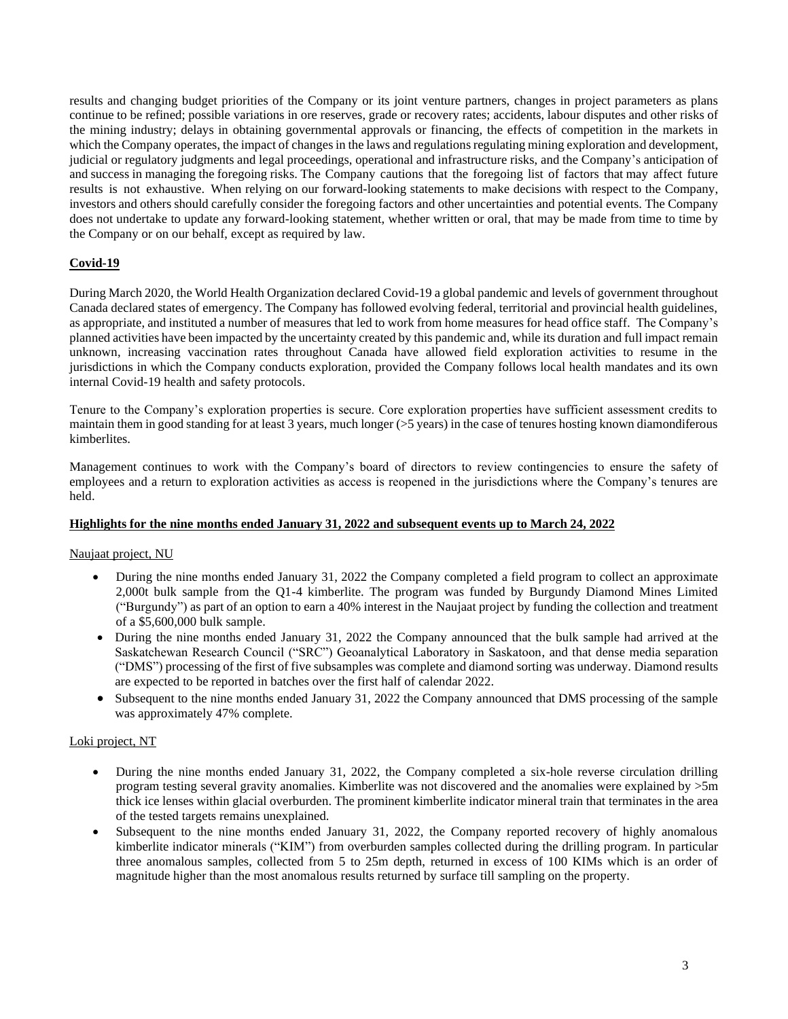results and changing budget priorities of the Company or its joint venture partners, changes in project parameters as plans continue to be refined; possible variations in ore reserves, grade or recovery rates; accidents, labour disputes and other risks of the mining industry; delays in obtaining governmental approvals or financing, the effects of competition in the markets in which the Company operates, the impact of changes in the laws and regulations regulating mining exploration and development, judicial or regulatory judgments and legal proceedings, operational and infrastructure risks, and the Company's anticipation of and success in managing the foregoing risks. The Company cautions that the foregoing list of factors that may affect future results is not exhaustive. When relying on our forward-looking statements to make decisions with respect to the Company, investors and others should carefully consider the foregoing factors and other uncertainties and potential events. The Company does not undertake to update any forward-looking statement, whether written or oral, that may be made from time to time by the Company or on our behalf, except as required by law.

# **Covid-19**

During March 2020, the World Health Organization declared Covid-19 a global pandemic and levels of government throughout Canada declared states of emergency. The Company has followed evolving federal, territorial and provincial health guidelines, as appropriate, and instituted a number of measures that led to work from home measures for head office staff. The Company's planned activities have been impacted by the uncertainty created by this pandemic and, while its duration and full impact remain unknown, increasing vaccination rates throughout Canada have allowed field exploration activities to resume in the jurisdictions in which the Company conducts exploration, provided the Company follows local health mandates and its own internal Covid-19 health and safety protocols.

Tenure to the Company's exploration properties is secure. Core exploration properties have sufficient assessment credits to maintain them in good standing for at least 3 years, much longer (>5 years) in the case of tenures hosting known diamondiferous kimberlites.

Management continues to work with the Company's board of directors to review contingencies to ensure the safety of employees and a return to exploration activities as access is reopened in the jurisdictions where the Company's tenures are held.

# **Highlights for the nine months ended January 31, 2022 and subsequent events up to March 24, 2022**

# Naujaat project, NU

- During the nine months ended January 31, 2022 the Company completed a field program to collect an approximate 2,000t bulk sample from the Q1-4 kimberlite. The program was funded by Burgundy Diamond Mines Limited ("Burgundy") as part of an option to earn a 40% interest in the Naujaat project by funding the collection and treatment of a \$5,600,000 bulk sample.
- During the nine months ended January 31, 2022 the Company announced that the bulk sample had arrived at the Saskatchewan Research Council ("SRC") Geoanalytical Laboratory in Saskatoon, and that dense media separation ("DMS") processing of the first of five subsamples was complete and diamond sorting was underway. Diamond results are expected to be reported in batches over the first half of calendar 2022.
- Subsequent to the nine months ended January 31, 2022 the Company announced that DMS processing of the sample was approximately 47% complete.

# Loki project, NT

- During the nine months ended January 31, 2022, the Company completed a six-hole reverse circulation drilling program testing several gravity anomalies. Kimberlite was not discovered and the anomalies were explained by >5m thick ice lenses within glacial overburden. The prominent kimberlite indicator mineral train that terminates in the area of the tested targets remains unexplained.
- Subsequent to the nine months ended January 31, 2022, the Company reported recovery of highly anomalous kimberlite indicator minerals ("KIM") from overburden samples collected during the drilling program. In particular three anomalous samples, collected from 5 to 25m depth, returned in excess of 100 KIMs which is an order of magnitude higher than the most anomalous results returned by surface till sampling on the property.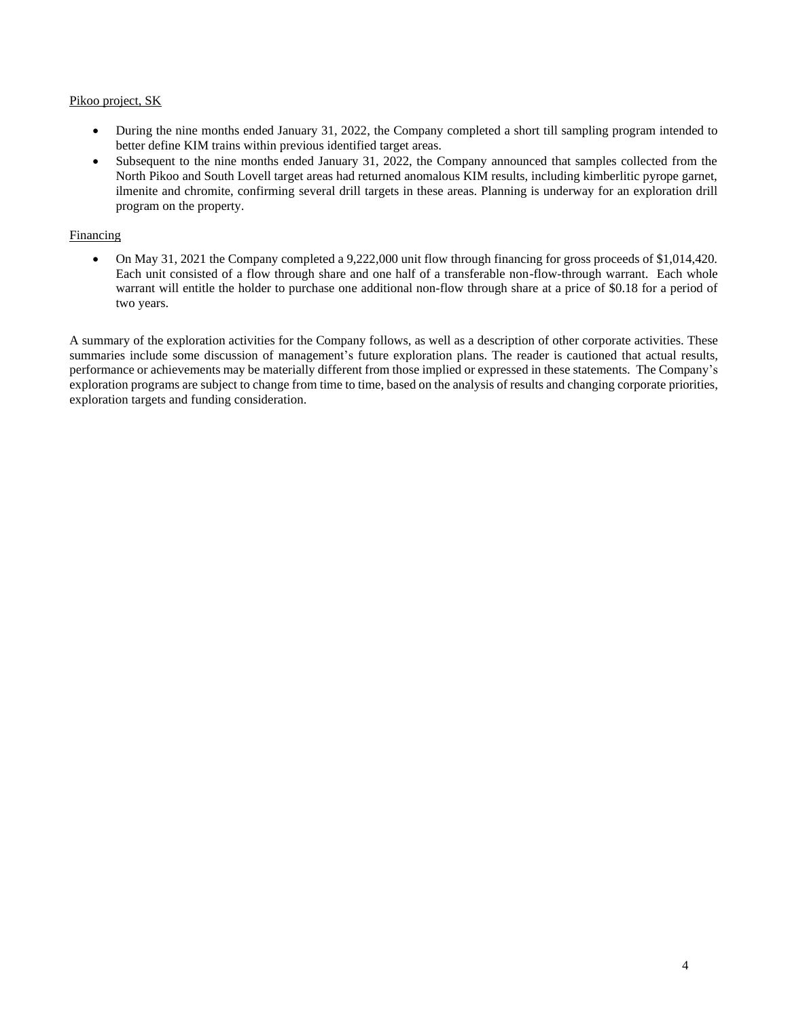## Pikoo project, SK

- During the nine months ended January 31, 2022, the Company completed a short till sampling program intended to better define KIM trains within previous identified target areas.
- Subsequent to the nine months ended January 31, 2022, the Company announced that samples collected from the North Pikoo and South Lovell target areas had returned anomalous KIM results, including kimberlitic pyrope garnet, ilmenite and chromite, confirming several drill targets in these areas. Planning is underway for an exploration drill program on the property.

## Financing

• On May 31, 2021 the Company completed a 9,222,000 unit flow through financing for gross proceeds of \$1,014,420. Each unit consisted of a flow through share and one half of a transferable non-flow-through warrant. Each whole warrant will entitle the holder to purchase one additional non-flow through share at a price of \$0.18 for a period of two years.

A summary of the exploration activities for the Company follows, as well as a description of other corporate activities. These summaries include some discussion of management's future exploration plans. The reader is cautioned that actual results, performance or achievements may be materially different from those implied or expressed in these statements. The Company's exploration programs are subject to change from time to time, based on the analysis of results and changing corporate priorities, exploration targets and funding consideration.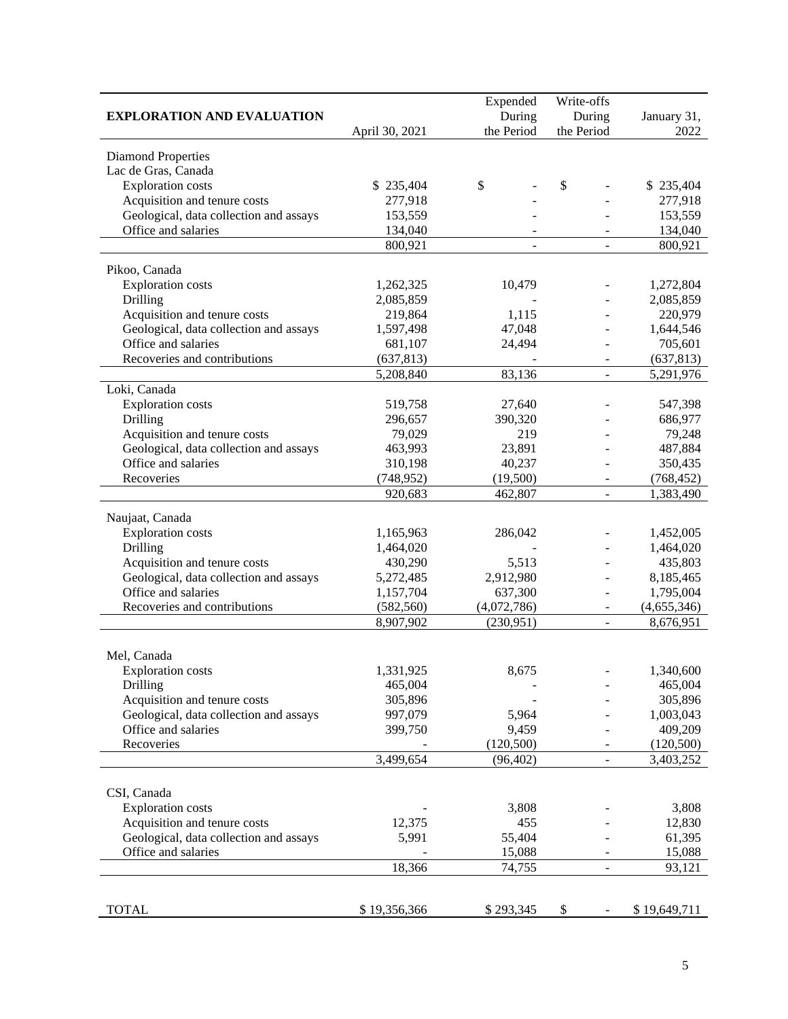|                                        | Expended       | Write-offs          |                |              |
|----------------------------------------|----------------|---------------------|----------------|--------------|
| <b>EXPLORATION AND EVALUATION</b>      | During         | January 31,         |                |              |
|                                        | April 30, 2021 | the Period          | the Period     | 2022         |
| <b>Diamond Properties</b>              |                |                     |                |              |
| Lac de Gras, Canada                    |                |                     |                |              |
| <b>Exploration</b> costs               | \$235,404      | \$                  | \$             | \$235,404    |
| Acquisition and tenure costs           | 277,918        |                     |                | 277,918      |
| Geological, data collection and assays | 153,559        |                     |                | 153,559      |
| Office and salaries                    | 134,040        |                     |                | 134,040      |
|                                        | 800,921        |                     |                | 800,921      |
|                                        |                |                     |                |              |
| Pikoo, Canada                          |                |                     |                |              |
| <b>Exploration</b> costs               | 1,262,325      | 10,479              |                | 1,272,804    |
| Drilling                               | 2,085,859      |                     |                | 2,085,859    |
| Acquisition and tenure costs           | 219,864        | 1,115               |                | 220,979      |
| Geological, data collection and assays | 1,597,498      | 47,048              |                | 1,644,546    |
| Office and salaries                    | 681,107        | 24,494              |                | 705,601      |
| Recoveries and contributions           | (637, 813)     |                     |                | (637, 813)   |
|                                        | 5,208,840      | 83,136              | $\overline{a}$ | 5,291,976    |
| Loki, Canada                           |                |                     |                |              |
| <b>Exploration</b> costs               | 519,758        | 27,640              |                | 547,398      |
| Drilling                               | 296,657        | 390,320             |                | 686,977      |
| Acquisition and tenure costs           | 79,029         | 219                 |                | 79,248       |
| Geological, data collection and assays | 463,993        | 23,891              |                | 487,884      |
| Office and salaries                    | 310,198        | 40,237              |                | 350,435      |
| Recoveries                             | (748, 952)     | (19,500)<br>462,807 |                | (768, 452)   |
|                                        | 920,683        |                     |                | 1,383,490    |
| Naujaat, Canada                        |                |                     |                |              |
| <b>Exploration</b> costs               | 1,165,963      | 286,042             |                | 1,452,005    |
| Drilling                               | 1,464,020      |                     |                | 1,464,020    |
| Acquisition and tenure costs           | 430,290        | 5,513               |                | 435,803      |
| Geological, data collection and assays | 5,272,485      | 2,912,980           |                | 8,185,465    |
| Office and salaries                    | 1,157,704      | 637,300             |                | 1,795,004    |
| Recoveries and contributions           | (582, 560)     | (4,072,786)         |                | (4,655,346)  |
|                                        | 8,907,902      | (230, 951)          |                | 8,676,951    |
|                                        |                |                     |                |              |
| Mel, Canada                            |                |                     |                |              |
| <b>Exploration</b> costs               | 1,331,925      | 8,675               |                | 1,340,600    |
| Drilling                               | 465,004        |                     |                | 465,004      |
| Acquisition and tenure costs           | 305,896        |                     |                | 305,896      |
| Geological, data collection and assays | 997,079        | 5,964               |                | 1,003,043    |
| Office and salaries                    | 399,750        | 9,459               |                | 409,209      |
| Recoveries                             |                | (120, 500)          |                | (120,500)    |
|                                        | 3,499,654      | (96, 402)           |                | 3,403,252    |
|                                        |                |                     |                |              |
| CSI, Canada                            |                |                     |                |              |
| Exploration costs                      |                | 3,808               |                | 3,808        |
| Acquisition and tenure costs           | 12,375         | 455                 |                | 12,830       |
| Geological, data collection and assays | 5,991          | 55,404              |                | 61,395       |
| Office and salaries                    |                | 15,088              |                | 15,088       |
|                                        | 18,366         | 74,755              | $\overline{a}$ | 93,121       |
|                                        |                |                     |                |              |
| <b>TOTAL</b>                           | \$19,356,366   | \$293,345           | \$             | \$19,649,711 |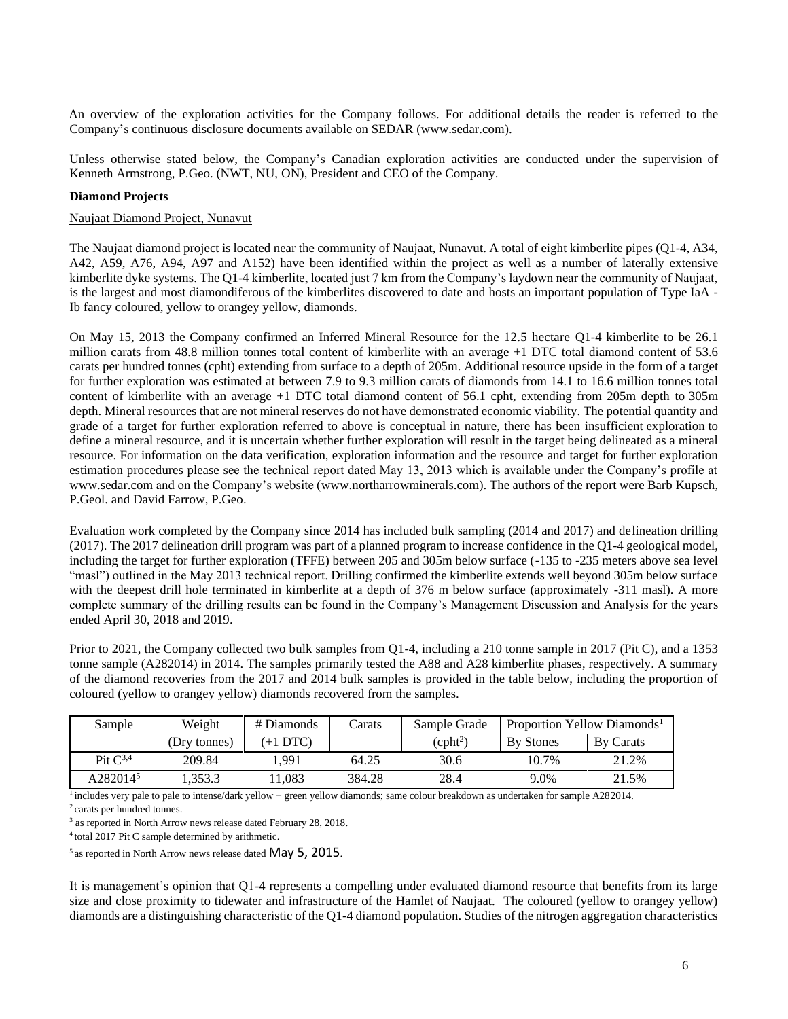An overview of the exploration activities for the Company follows. For additional details the reader is referred to the Company's continuous disclosure documents available on [SEDAR \(www.sedar.com](http://www.sedar.com/)).

Unless otherwise stated below, the Company's Canadian exploration activities are conducted under the supervision of Kenneth Armstrong, P.Geo. (NWT, NU, ON), President and CEO of the Company.

### **Diamond Projects**

#### Naujaat Diamond Project, Nunavut

The Naujaat diamond project is located near the community of Naujaat, Nunavut. A total of eight kimberlite pipes (Q1-4, A34, A42, A59, A76, A94, A97 and A152) have been identified within the project as well as a number of laterally extensive kimberlite dyke systems. The Q1-4 kimberlite, located just 7 km from the Company's laydown near the community of Naujaat, is the largest and most diamondiferous of the kimberlites discovered to date and hosts an important population of Type IaA - Ib fancy coloured, yellow to orangey yellow, diamonds.

On May 15, 2013 the Company confirmed an Inferred Mineral Resource for the 12.5 hectare Q1-4 kimberlite to be 26.1 million carats from 48.8 million tonnes total content of kimberlite with an average +1 DTC total diamond content of 53.6 carats per hundred tonnes (cpht) extending from surface to a depth of 205m. Additional resource upside in the form of a target for further exploration was estimated at between 7.9 to 9.3 million carats of diamonds from 14.1 to 16.6 million tonnes total content of kimberlite with an average +1 DTC total diamond content of 56.1 cpht, extending from 205m depth to 305m depth. Mineral resources that are not mineral reserves do not have demonstrated economic viability. The potential quantity and grade of a target for further exploration referred to above is conceptual in nature, there has been insufficient exploration to define a mineral resource, and it is uncertain whether further exploration will result in the target being delineated as a mineral resource. For information on the data verification, exploration information and the resource and target for further exploration estimation procedures please see the technical report dated May 13, 2013 which is available under the Company's profile at [www.sedar.com](http://www.sedar.com/) and on the Company's website [\(www.northarrowminerals.com\)](http://www.northarrowminerals.com/). The authors of the report were Barb Kupsch, P.Geol. and David Farrow, P.Geo.

Evaluation work completed by the Company since 2014 has included bulk sampling (2014 and 2017) and delineation drilling (2017). The 2017 delineation drill program was part of a planned program to increase confidence in the Q1-4 geological model, including the target for further exploration (TFFE) between 205 and 305m below surface (-135 to -235 meters above sea level "masl") outlined in the May 2013 technical report. Drilling confirmed the kimberlite extends well beyond 305m below surface with the deepest drill hole terminated in kimberlite at a depth of 376 m below surface (approximately -311 masl). A more complete summary of the drilling results can be found in the Company's Management Discussion and Analysis for the years ended April 30, 2018 and 2019.

Prior to 2021, the Company collected two bulk samples from Q1-4, including a 210 tonne sample in 2017 (Pit C), and a 1353 tonne sample (A282014) in 2014. The samples primarily tested the A88 and A28 kimberlite phases, respectively. A summary of the diamond recoveries from the 2017 and 2014 bulk samples is provided in the table below, including the proportion of coloured (yellow to orangey yellow) diamonds recovered from the samples.

| Sample               | Weight       | # Diamonds | Carats | Sample Grade | Proportion Yellow Diamonds <sup>1</sup> |           |
|----------------------|--------------|------------|--------|--------------|-----------------------------------------|-----------|
|                      | (Dry tonnes) | $(+1$ DTC) |        | $(cpht^2)$   | <b>By Stones</b>                        | By Carats |
| Pit $C^{3,4}$        | 209.84       | 1.991      | 64.25  | 30.6         | 10.7%                                   | 21.2%     |
| A282014 <sup>5</sup> | .353.3       | 1.083      | 384.28 | 28.4         | 9.0%                                    | 21.5%     |

<sup>1</sup> includes very pale to pale to intense/dark yellow + green yellow diamonds; same colour breakdown as undertaken for sample A282014.

<sup>2</sup>carats per hundred tonnes.

<sup>4</sup> total 2017 Pit C sample determined by arithmetic.

 $5$  as reported in North Arrow news release dated May 5, 2015.

It is management's opinion that Q1-4 represents a compelling under evaluated diamond resource that benefits from its large size and close proximity to tidewater and infrastructure of the Hamlet of Naujaat. The coloured (yellow to orangey yellow) diamonds are a distinguishing characteristic of the Q1-4 diamond population. Studies of the nitrogen aggregation characteristics

<sup>&</sup>lt;sup>3</sup> as reported in North Arrow news release dated February 28, 2018.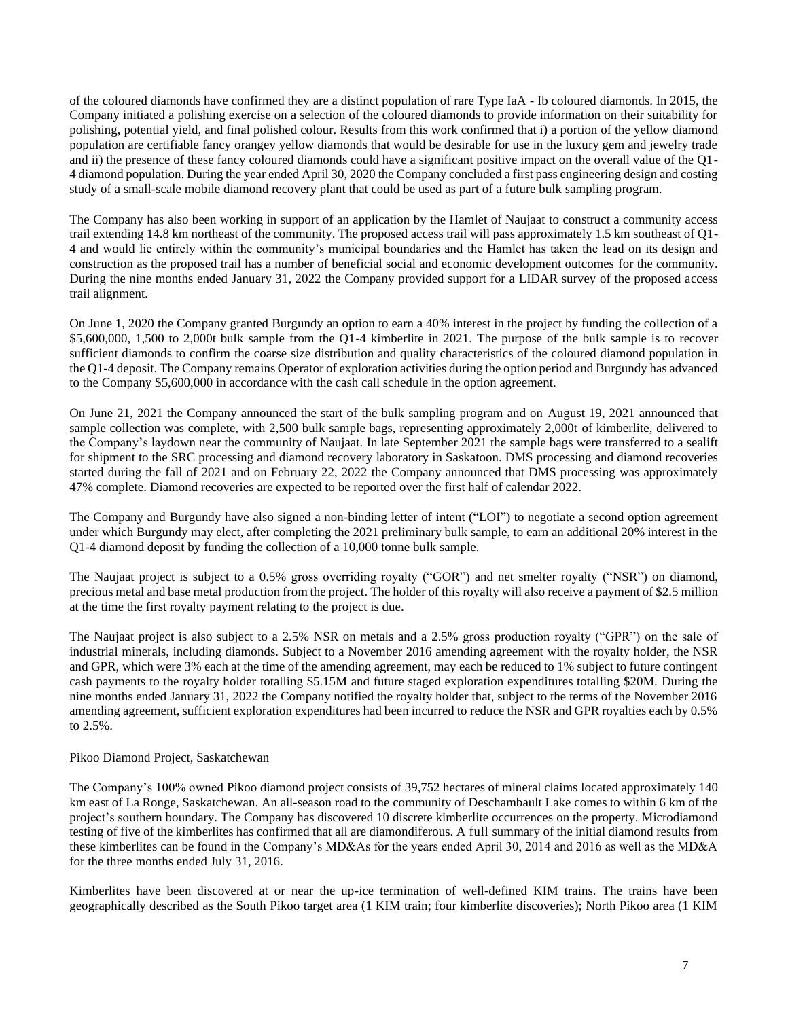of the coloured diamonds have confirmed they are a distinct population of rare Type IaA - Ib coloured diamonds. In 2015, the Company initiated a polishing exercise on a selection of the coloured diamonds to provide information on their suitability for polishing, potential yield, and final polished colour. Results from this work confirmed that i) a portion of the yellow diamond population are certifiable fancy orangey yellow diamonds that would be desirable for use in the luxury gem and jewelry trade and ii) the presence of these fancy coloured diamonds could have a significant positive impact on the overall value of the Q1- 4 diamond population. During the year ended April 30, 2020 the Company concluded a first pass engineering design and costing study of a small-scale mobile diamond recovery plant that could be used as part of a future bulk sampling program.

The Company has also been working in support of an application by the Hamlet of Naujaat to construct a community access trail extending 14.8 km northeast of the community. The proposed access trail will pass approximately 1.5 km southeast of Q1- 4 and would lie entirely within the community's municipal boundaries and the Hamlet has taken the lead on its design and construction as the proposed trail has a number of beneficial social and economic development outcomes for the community. During the nine months ended January 31, 2022 the Company provided support for a LIDAR survey of the proposed access trail alignment.

On June 1, 2020 the Company granted Burgundy an option to earn a 40% interest in the project by funding the collection of a \$5,600,000, 1,500 to 2,000t bulk sample from the Q1-4 kimberlite in 2021. The purpose of the bulk sample is to recover sufficient diamonds to confirm the coarse size distribution and quality characteristics of the coloured diamond population in the Q1-4 deposit. The Company remains Operator of exploration activities during the option period and Burgundy has advanced to the Company \$5,600,000 in accordance with the cash call schedule in the option agreement.

On June 21, 2021 the Company announced the start of the bulk sampling program and on August 19, 2021 announced that sample collection was complete, with 2,500 bulk sample bags, representing approximately 2,000t of kimberlite, delivered to the Company's laydown near the community of Naujaat. In late September 2021 the sample bags were transferred to a sealift for shipment to the SRC processing and diamond recovery laboratory in Saskatoon. DMS processing and diamond recoveries started during the fall of 2021 and on February 22, 2022 the Company announced that DMS processing was approximately 47% complete. Diamond recoveries are expected to be reported over the first half of calendar 2022.

The Company and Burgundy have also signed a non-binding letter of intent ("LOI") to negotiate a second option agreement under which Burgundy may elect, after completing the 2021 preliminary bulk sample, to earn an additional 20% interest in the Q1-4 diamond deposit by funding the collection of a 10,000 tonne bulk sample.

The Naujaat project is subject to a 0.5% gross overriding royalty ("GOR") and net smelter royalty ("NSR") on diamond, precious metal and base metal production from the project. The holder of this royalty will also receive a payment of \$2.5 million at the time the first royalty payment relating to the project is due.

The Naujaat project is also subject to a 2.5% NSR on metals and a 2.5% gross production royalty ("GPR") on the sale of industrial minerals, including diamonds. Subject to a November 2016 amending agreement with the royalty holder, the NSR and GPR, which were 3% each at the time of the amending agreement, may each be reduced to 1% subject to future contingent cash payments to the royalty holder totalling \$5.15M and future staged exploration expenditures totalling \$20M. During the nine months ended January 31, 2022 the Company notified the royalty holder that, subject to the terms of the November 2016 amending agreement, sufficient exploration expenditures had been incurred to reduce the NSR and GPR royalties each by 0.5% to 2.5%.

# Pikoo Diamond Project, Saskatchewan

The Company's 100% owned Pikoo diamond project consists of 39,752 hectares of mineral claims located approximately 140 km east of La Ronge, Saskatchewan. An all-season road to the community of Deschambault Lake comes to within 6 km of the project's southern boundary. The Company has discovered 10 discrete kimberlite occurrences on the property. Microdiamond testing of five of the kimberlites has confirmed that all are diamondiferous. A full summary of the initial diamond results from these kimberlites can be found in the Company's MD&As for the years ended April 30, 2014 and 2016 as well as the MD&A for the three months ended July 31, 2016.

Kimberlites have been discovered at or near the up-ice termination of well-defined KIM trains. The trains have been geographically described as the South Pikoo target area (1 KIM train; four kimberlite discoveries); North Pikoo area (1 KIM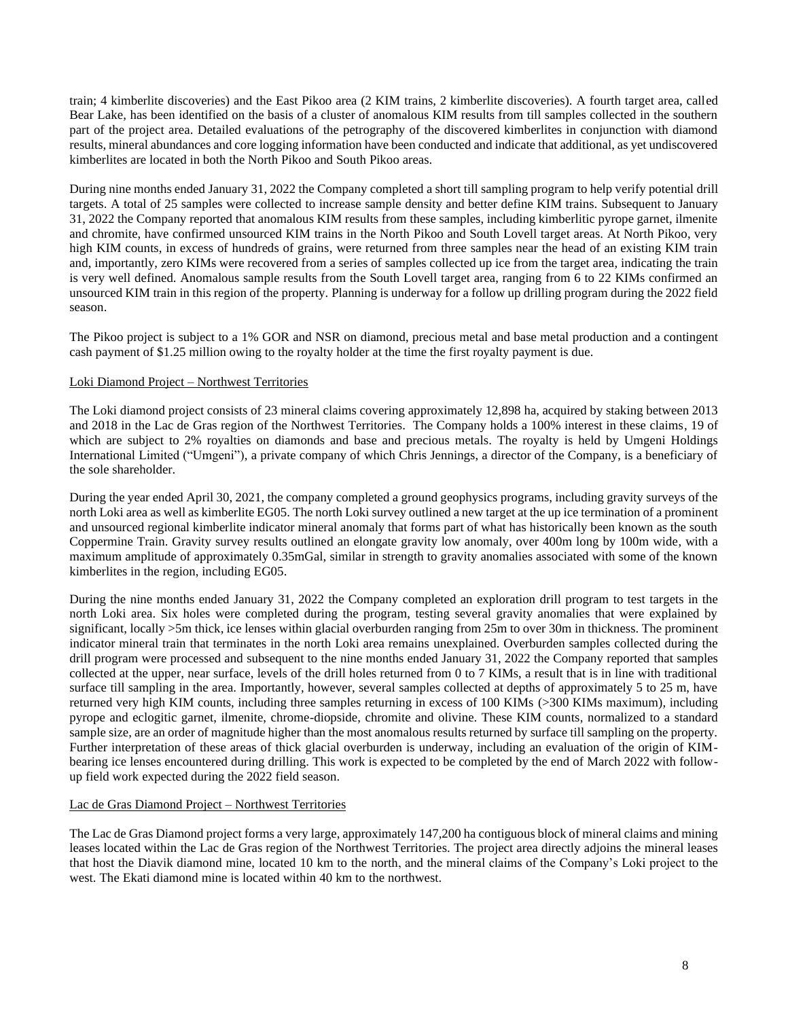train; 4 kimberlite discoveries) and the East Pikoo area (2 KIM trains, 2 kimberlite discoveries). A fourth target area, called Bear Lake, has been identified on the basis of a cluster of anomalous KIM results from till samples collected in the southern part of the project area. Detailed evaluations of the petrography of the discovered kimberlites in conjunction with diamond results, mineral abundances and core logging information have been conducted and indicate that additional, as yet undiscovered kimberlites are located in both the North Pikoo and South Pikoo areas.

During nine months ended January 31, 2022 the Company completed a short till sampling program to help verify potential drill targets. A total of 25 samples were collected to increase sample density and better define KIM trains. Subsequent to January 31, 2022 the Company reported that anomalous KIM results from these samples, including kimberlitic pyrope garnet, ilmenite and chromite, have confirmed unsourced KIM trains in the North Pikoo and South Lovell target areas. At North Pikoo, very high KIM counts, in excess of hundreds of grains, were returned from three samples near the head of an existing KIM train and, importantly, zero KIMs were recovered from a series of samples collected up ice from the target area, indicating the train is very well defined. Anomalous sample results from the South Lovell target area, ranging from 6 to 22 KIMs confirmed an unsourced KIM train in this region of the property. Planning is underway for a follow up drilling program during the 2022 field season.

The Pikoo project is subject to a 1% GOR and NSR on diamond, precious metal and base metal production and a contingent cash payment of \$1.25 million owing to the royalty holder at the time the first royalty payment is due.

## Loki Diamond Project – Northwest Territories

The Loki diamond project consists of 23 mineral claims covering approximately 12,898 ha, acquired by staking between 2013 and 2018 in the Lac de Gras region of the Northwest Territories. The Company holds a 100% interest in these claims, 19 of which are subject to 2% royalties on diamonds and base and precious metals. The royalty is held by Umgeni Holdings International Limited ("Umgeni"), a private company of which Chris Jennings, a director of the Company, is a beneficiary of the sole shareholder.

During the year ended April 30, 2021, the company completed a ground geophysics programs, including gravity surveys of the north Loki area as well as kimberlite EG05. The north Loki survey outlined a new target at the up ice termination of a prominent and unsourced regional kimberlite indicator mineral anomaly that forms part of what has historically been known as the south Coppermine Train. Gravity survey results outlined an elongate gravity low anomaly, over 400m long by 100m wide, with a maximum amplitude of approximately 0.35mGal, similar in strength to gravity anomalies associated with some of the known kimberlites in the region, including EG05.

During the nine months ended January 31, 2022 the Company completed an exploration drill program to test targets in the north Loki area. Six holes were completed during the program, testing several gravity anomalies that were explained by significant, locally >5m thick, ice lenses within glacial overburden ranging from 25m to over 30m in thickness. The prominent indicator mineral train that terminates in the north Loki area remains unexplained. Overburden samples collected during the drill program were processed and subsequent to the nine months ended January 31, 2022 the Company reported that samples collected at the upper, near surface, levels of the drill holes returned from 0 to 7 KIMs, a result that is in line with traditional surface till sampling in the area. Importantly, however, several samples collected at depths of approximately 5 to 25 m, have returned very high KIM counts, including three samples returning in excess of 100 KIMs (>300 KIMs maximum), including pyrope and eclogitic garnet, ilmenite, chrome-diopside, chromite and olivine. These KIM counts, normalized to a standard sample size, are an order of magnitude higher than the most anomalous results returned by surface till sampling on the property. Further interpretation of these areas of thick glacial overburden is underway, including an evaluation of the origin of KIMbearing ice lenses encountered during drilling. This work is expected to be completed by the end of March 2022 with followup field work expected during the 2022 field season.

#### Lac de Gras Diamond Project – Northwest Territories

The Lac de Gras Diamond project forms a very large, approximately 147,200 ha contiguous block of mineral claims and mining leases located within the Lac de Gras region of the Northwest Territories. The project area directly adjoins the mineral leases that host the Diavik diamond mine, located 10 km to the north, and the mineral claims of the Company's Loki project to the west. The Ekati diamond mine is located within 40 km to the northwest.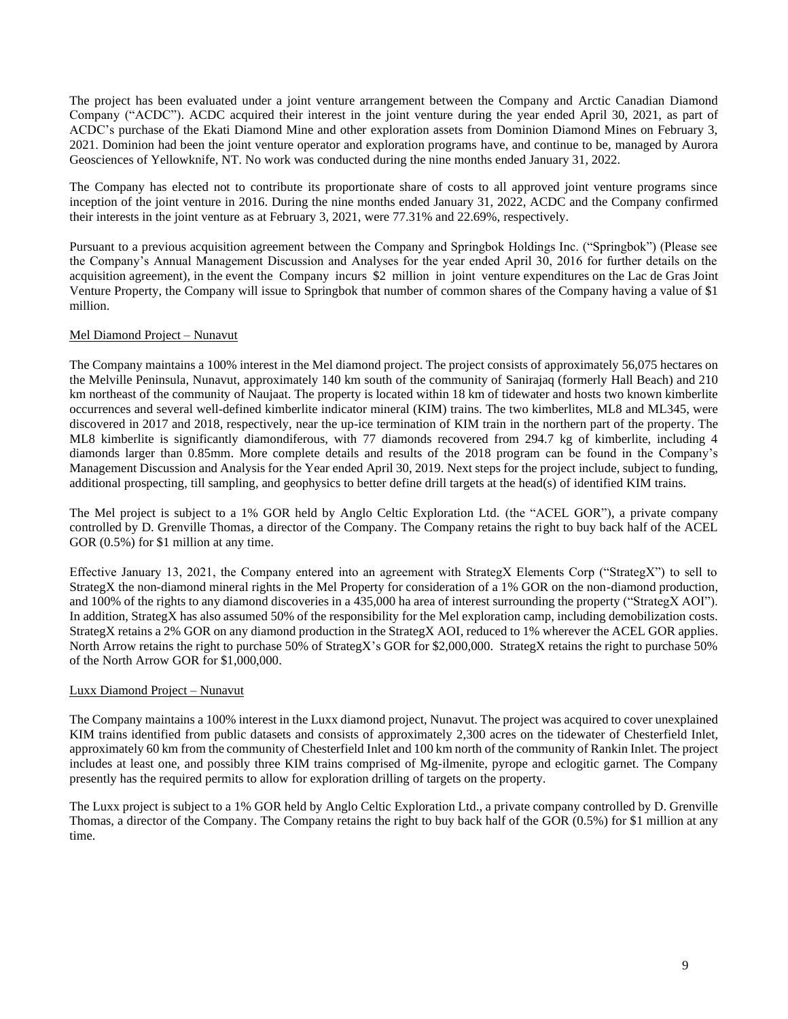The project has been evaluated under a joint venture arrangement between the Company and Arctic Canadian Diamond Company ("ACDC"). ACDC acquired their interest in the joint venture during the year ended April 30, 2021, as part of ACDC's purchase of the Ekati Diamond Mine and other exploration assets from Dominion Diamond Mines on February 3, 2021. Dominion had been the joint venture operator and exploration programs have, and continue to be, managed by Aurora Geosciences of Yellowknife, NT. No work was conducted during the nine months ended January 31, 2022.

The Company has elected not to contribute its proportionate share of costs to all approved joint venture programs since inception of the joint venture in 2016. During the nine months ended January 31, 2022, ACDC and the Company confirmed their interests in the joint venture as at February 3, 2021, were 77.31% and 22.69%, respectively.

Pursuant to a previous acquisition agreement between the Company and Springbok Holdings Inc. ("Springbok") (Please see the Company's Annual Management Discussion and Analyses for the year ended April 30, 2016 for further details on the acquisition agreement), in the event the Company incurs \$2 million in joint venture expenditures on the Lac de Gras Joint Venture Property, the Company will issue to Springbok that number of common shares of the Company having a value of \$1 million.

# Mel Diamond Project – Nunavut

The Company maintains a 100% interest in the Mel diamond project. The project consists of approximately 56,075 hectares on the Melville Peninsula, Nunavut, approximately 140 km south of the community of Sanirajaq (formerly Hall Beach) and 210 km northeast of the community of Naujaat. The property is located within 18 km of tidewater and hosts two known kimberlite occurrences and several well-defined kimberlite indicator mineral (KIM) trains. The two kimberlites, ML8 and ML345, were discovered in 2017 and 2018, respectively, near the up-ice termination of KIM train in the northern part of the property. The ML8 kimberlite is significantly diamondiferous, with 77 diamonds recovered from 294.7 kg of kimberlite, including 4 diamonds larger than 0.85mm. More complete details and results of the 2018 program can be found in the Company's Management Discussion and Analysis for the Year ended April 30, 2019. Next steps for the project include, subject to funding, additional prospecting, till sampling, and geophysics to better define drill targets at the head(s) of identified KIM trains.

The Mel project is subject to a 1% GOR held by Anglo Celtic Exploration Ltd. (the "ACEL GOR"), a private company controlled by D. Grenville Thomas, a director of the Company. The Company retains the right to buy back half of the ACEL GOR  $(0.5\%)$  for \$1 million at any time.

Effective January 13, 2021, the Company entered into an agreement with StrategX Elements Corp ("StrategX") to sell to StrategX the non-diamond mineral rights in the Mel Property for consideration of a 1% GOR on the non-diamond production, and 100% of the rights to any diamond discoveries in a 435,000 ha area of interest surrounding the property ("StrategX AOI"). In addition, StrategX has also assumed 50% of the responsibility for the Mel exploration camp, including demobilization costs. StrategX retains a 2% GOR on any diamond production in the StrategX AOI, reduced to 1% wherever the ACEL GOR applies. North Arrow retains the right to purchase 50% of StrategX's GOR for \$2,000,000. StrategX retains the right to purchase 50% of the North Arrow GOR for \$1,000,000.

#### Luxx Diamond Project – Nunavut

The Company maintains a 100% interest in the Luxx diamond project, Nunavut. The project was acquired to cover unexplained KIM trains identified from public datasets and consists of approximately 2,300 acres on the tidewater of Chesterfield Inlet, approximately 60 km from the community of Chesterfield Inlet and 100 km north of the community of Rankin Inlet. The project includes at least one, and possibly three KIM trains comprised of Mg-ilmenite, pyrope and eclogitic garnet. The Company presently has the required permits to allow for exploration drilling of targets on the property.

The Luxx project is subject to a 1% GOR held by Anglo Celtic Exploration Ltd., a private company controlled by D. Grenville Thomas, a director of the Company. The Company retains the right to buy back half of the GOR (0.5%) for \$1 million at any time.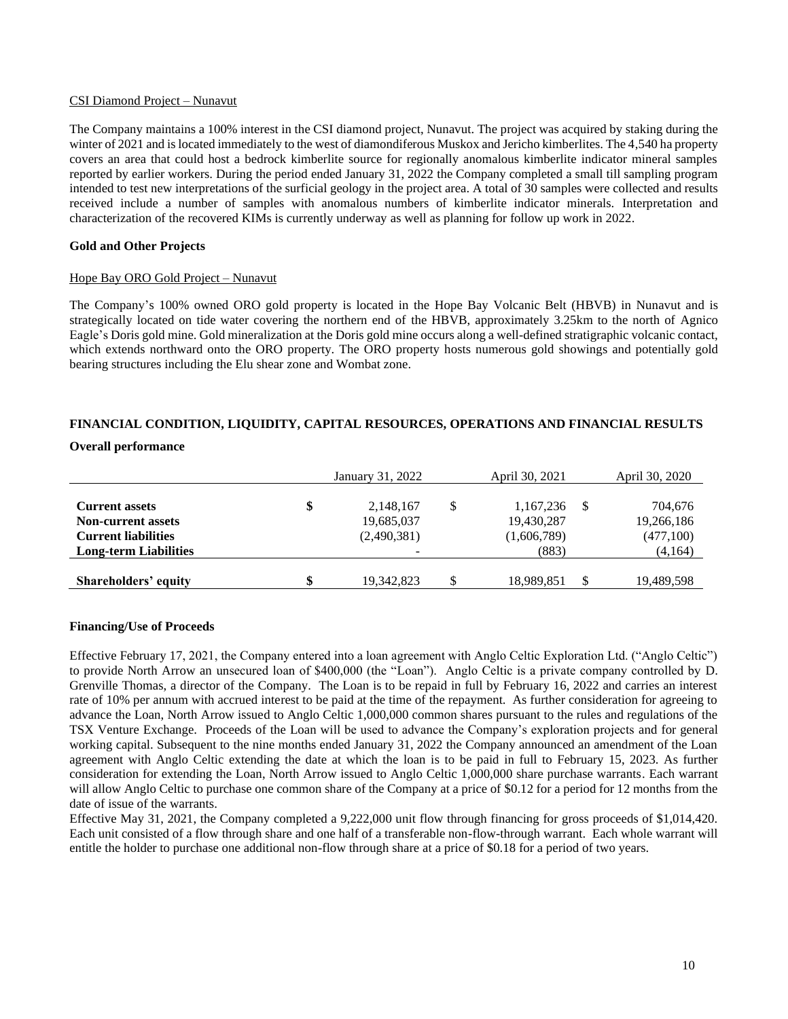#### CSI Diamond Project – Nunavut

The Company maintains a 100% interest in the CSI diamond project, Nunavut. The project was acquired by staking during the winter of 2021 and is located immediately to the west of diamondiferous Muskox and Jericho kimberlites. The 4,540 ha property covers an area that could host a bedrock kimberlite source for regionally anomalous kimberlite indicator mineral samples reported by earlier workers. During the period ended January 31, 2022 the Company completed a small till sampling program intended to test new interpretations of the surficial geology in the project area. A total of 30 samples were collected and results received include a number of samples with anomalous numbers of kimberlite indicator minerals. Interpretation and characterization of the recovered KIMs is currently underway as well as planning for follow up work in 2022.

#### **Gold and Other Projects**

#### Hope Bay ORO Gold Project – Nunavut

The Company's 100% owned ORO gold property is located in the Hope Bay Volcanic Belt (HBVB) in Nunavut and is strategically located on tide water covering the northern end of the HBVB, approximately 3.25km to the north of Agnico Eagle's Doris gold mine. Gold mineralization at the Doris gold mine occurs along a well-defined stratigraphic volcanic contact, which extends northward onto the ORO property. The ORO property hosts numerous gold showings and potentially gold bearing structures including the Elu shear zone and Wombat zone.

# **FINANCIAL CONDITION, LIQUIDITY, CAPITAL RESOURCES, OPERATIONS AND FINANCIAL RESULTS**

### **Overall performance**

|                              | January 31, 2022 |   | April 30, 2021 | April 30, 2020 |
|------------------------------|------------------|---|----------------|----------------|
| <b>Current assets</b>        | \$<br>2,148,167  | S | 1,167,236      | 704.676        |
| <b>Non-current assets</b>    | 19,685,037       |   | 19,430,287     | 19,266,186     |
| <b>Current liabilities</b>   | (2,490,381)      |   | (1,606,789)    | (477,100)      |
| <b>Long-term Liabilities</b> | -                |   | (883)          | (4,164)        |
|                              |                  |   |                |                |
| Shareholders' equity         | \$<br>19.342.823 | S | 18,989,851     | 19,489,598     |

#### **Financing/Use of Proceeds**

Effective February 17, 2021, the Company entered into a loan agreement with Anglo Celtic Exploration Ltd. ("Anglo Celtic") to provide North Arrow an unsecured loan of \$400,000 (the "Loan"). Anglo Celtic is a private company controlled by D. Grenville Thomas, a director of the Company. The Loan is to be repaid in full by February 16, 2022 and carries an interest rate of 10% per annum with accrued interest to be paid at the time of the repayment. As further consideration for agreeing to advance the Loan, North Arrow issued to Anglo Celtic 1,000,000 common shares pursuant to the rules and regulations of the TSX Venture Exchange. Proceeds of the Loan will be used to advance the Company's exploration projects and for general working capital. Subsequent to the nine months ended January 31, 2022 the Company announced an amendment of the Loan agreement with Anglo Celtic extending the date at which the loan is to be paid in full to February 15, 2023. As further consideration for extending the Loan, North Arrow issued to Anglo Celtic 1,000,000 share purchase warrants. Each warrant will allow Anglo Celtic to purchase one common share of the Company at a price of \$0.12 for a period for 12 months from the date of issue of the warrants.

Effective May 31, 2021, the Company completed a 9,222,000 unit flow through financing for gross proceeds of \$1,014,420. Each unit consisted of a flow through share and one half of a transferable non-flow-through warrant. Each whole warrant will entitle the holder to purchase one additional non-flow through share at a price of \$0.18 for a period of two years.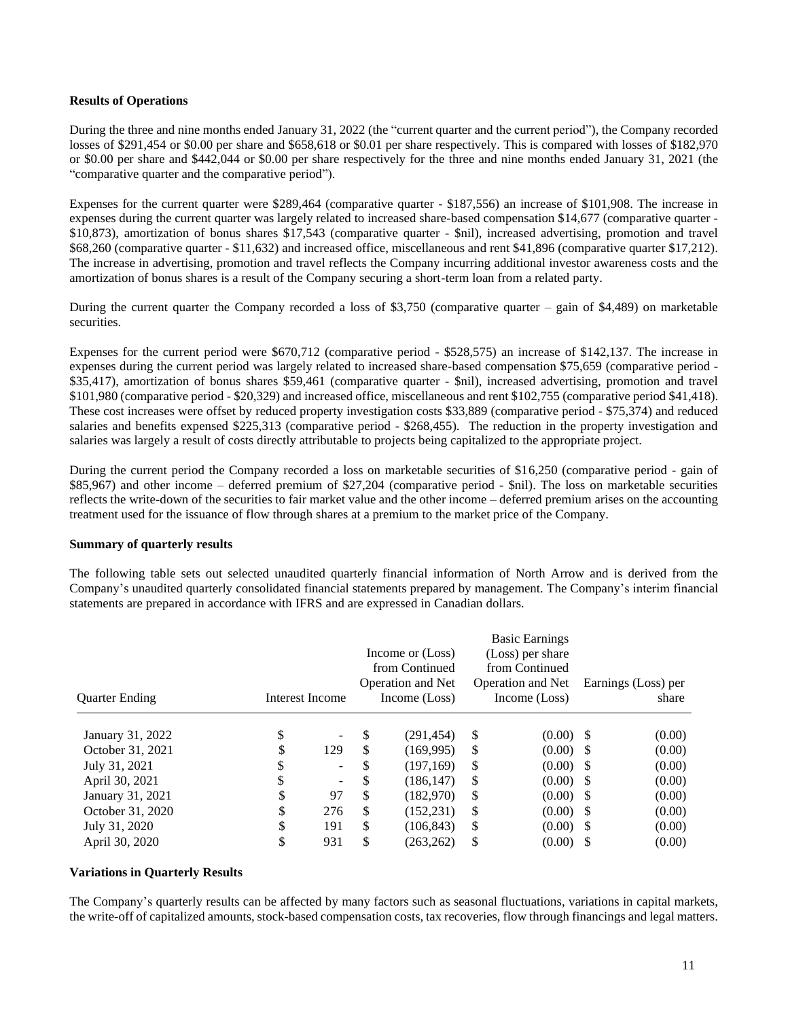### **Results of Operations**

During the three and nine months ended January 31, 2022 (the "current quarter and the current period"), the Company recorded losses of \$291,454 or \$0.00 per share and \$658,618 or \$0.01 per share respectively. This is compared with losses of \$182,970 or \$0.00 per share and \$442,044 or \$0.00 per share respectively for the three and nine months ended January 31, 2021 (the "comparative quarter and the comparative period").

Expenses for the current quarter were \$289,464 (comparative quarter - \$187,556) an increase of \$101,908. The increase in expenses during the current quarter was largely related to increased share-based compensation \$14,677 (comparative quarter - \$10,873), amortization of bonus shares \$17,543 (comparative quarter - \$nil), increased advertising, promotion and travel \$68,260 (comparative quarter - \$11,632) and increased office, miscellaneous and rent \$41,896 (comparative quarter \$17,212). The increase in advertising, promotion and travel reflects the Company incurring additional investor awareness costs and the amortization of bonus shares is a result of the Company securing a short-term loan from a related party.

During the current quarter the Company recorded a loss of \$3,750 (comparative quarter – gain of \$4,489) on marketable securities.

Expenses for the current period were \$670,712 (comparative period - \$528,575) an increase of \$142,137. The increase in expenses during the current period was largely related to increased share-based compensation \$75,659 (comparative period - \$35,417), amortization of bonus shares \$59,461 (comparative quarter - \$nil), increased advertising, promotion and travel \$101,980 (comparative period - \$20,329) and increased office, miscellaneous and rent \$102,755 (comparative period \$41,418). These cost increases were offset by reduced property investigation costs \$33,889 (comparative period - \$75,374) and reduced salaries and benefits expensed \$225,313 (comparative period - \$268,455). The reduction in the property investigation and salaries was largely a result of costs directly attributable to projects being capitalized to the appropriate project.

During the current period the Company recorded a loss on marketable securities of \$16,250 (comparative period - gain of \$85,967) and other income – deferred premium of \$27,204 (comparative period - \$nil). The loss on marketable securities reflects the write-down of the securities to fair market value and the other income – deferred premium arises on the accounting treatment used for the issuance of flow through shares at a premium to the market price of the Company.

## **Summary of quarterly results**

The following table sets out selected unaudited quarterly financial information of North Arrow and is derived from the Company's unaudited quarterly consolidated financial statements prepared by management. The Company's interim financial statements are prepared in accordance with IFRS and are expressed in Canadian dollars.

| <b>Quarter Ending</b> |    | Interest Income          |     | Income or (Loss)<br>from Continued<br><b>Operation and Net</b><br>Income (Loss) |               | <b>Basic Earnings</b><br>(Loss) per share<br>from Continued<br>Operation and Net<br>Income (Loss) | Earnings (Loss) per<br>share |
|-----------------------|----|--------------------------|-----|---------------------------------------------------------------------------------|---------------|---------------------------------------------------------------------------------------------------|------------------------------|
| January 31, 2022      | \$ | $\overline{\phantom{a}}$ | \$  | (291, 454)                                                                      | S             | $(0.00)$ \$                                                                                       | (0.00)                       |
| October 31, 2021      | \$ | 129                      | \$  | (169.995)                                                                       | <sup>\$</sup> | $(0.00)$ \$                                                                                       | (0.00)                       |
| July 31, 2021         | D  | $\sim$                   | \$  | (197, 169)                                                                      | \$            | $(0.00)$ \$                                                                                       | (0.00)                       |
| April 30, 2021        | \$ | $\overline{\phantom{a}}$ | S   | (186, 147)                                                                      | <sup>\$</sup> | $(0.00)$ \$                                                                                       | (0.00)                       |
| January 31, 2021      | \$ | 97                       | \$  | (182,970)                                                                       | S             | $(0.00)$ \$                                                                                       | (0.00)                       |
| October 31, 2020      | \$ | 276                      | \$  | (152, 231)                                                                      | S             | $(0.00)$ \$                                                                                       | (0.00)                       |
| July 31, 2020         | \$ | 191                      | \$. | (106, 843)                                                                      | S             | $(0.00)$ \$                                                                                       | (0.00)                       |
| April 30, 2020        | \$ | 931                      | \$  | (263, 262)                                                                      | \$            | (0.00)                                                                                            | (0.00)                       |

#### **Variations in Quarterly Results**

The Company's quarterly results can be affected by many factors such as seasonal fluctuations, variations in capital markets, the write-off of capitalized amounts, stock-based compensation costs, tax recoveries, flow through financings and legal matters.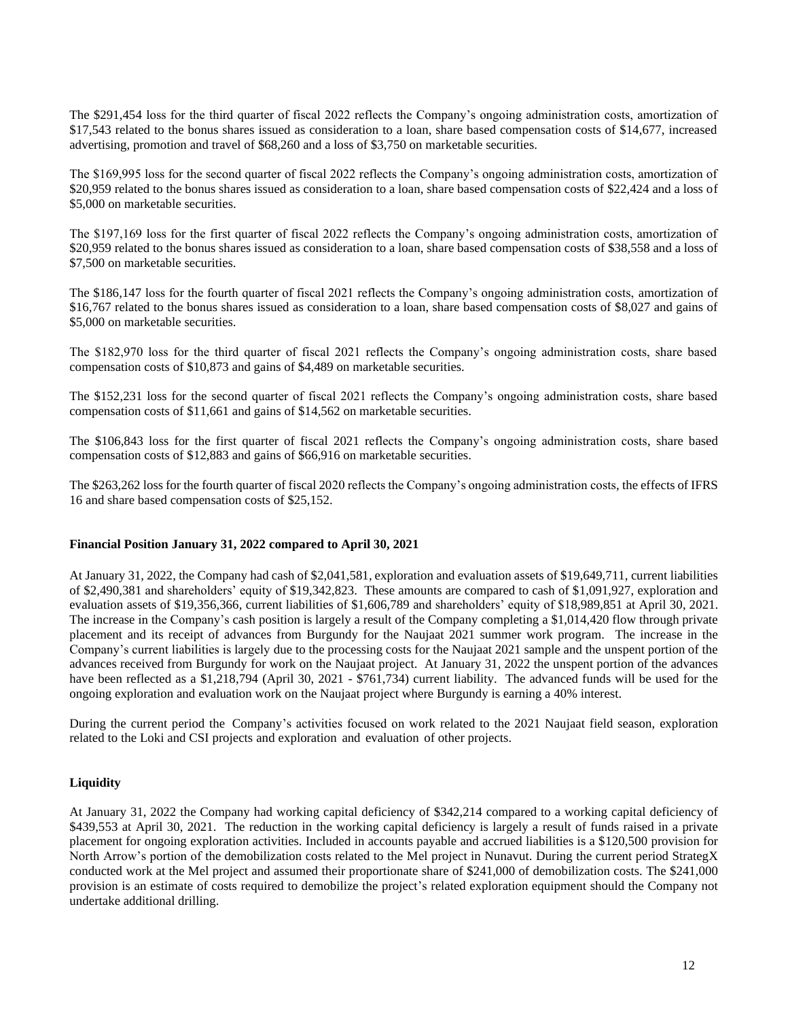The \$291,454 loss for the third quarter of fiscal 2022 reflects the Company's ongoing administration costs, amortization of \$17,543 related to the bonus shares issued as consideration to a loan, share based compensation costs of \$14,677, increased advertising, promotion and travel of \$68,260 and a loss of \$3,750 on marketable securities.

The \$169,995 loss for the second quarter of fiscal 2022 reflects the Company's ongoing administration costs, amortization of \$20,959 related to the bonus shares issued as consideration to a loan, share based compensation costs of \$22,424 and a loss of \$5,000 on marketable securities.

The \$197,169 loss for the first quarter of fiscal 2022 reflects the Company's ongoing administration costs, amortization of \$20,959 related to the bonus shares issued as consideration to a loan, share based compensation costs of \$38,558 and a loss of \$7,500 on marketable securities.

The \$186,147 loss for the fourth quarter of fiscal 2021 reflects the Company's ongoing administration costs, amortization of \$16,767 related to the bonus shares issued as consideration to a loan, share based compensation costs of \$8,027 and gains of \$5,000 on marketable securities.

The \$182,970 loss for the third quarter of fiscal 2021 reflects the Company's ongoing administration costs, share based compensation costs of \$10,873 and gains of \$4,489 on marketable securities.

The \$152,231 loss for the second quarter of fiscal 2021 reflects the Company's ongoing administration costs, share based compensation costs of \$11,661 and gains of \$14,562 on marketable securities.

The \$106,843 loss for the first quarter of fiscal 2021 reflects the Company's ongoing administration costs, share based compensation costs of \$12,883 and gains of \$66,916 on marketable securities.

The \$263,262 loss for the fourth quarter of fiscal 2020 reflects the Company's ongoing administration costs, the effects of IFRS 16 and share based compensation costs of \$25,152.

#### **Financial Position January 31, 2022 compared to April 30, 2021**

At January 31, 2022, the Company had cash of \$2,041,581, exploration and evaluation assets of \$19,649,711, current liabilities of \$2,490,381 and shareholders' equity of \$19,342,823. These amounts are compared to cash of \$1,091,927, exploration and evaluation assets of \$19,356,366, current liabilities of \$1,606,789 and shareholders' equity of \$18,989,851 at April 30, 2021. The increase in the Company's cash position is largely a result of the Company completing a \$1,014,420 flow through private placement and its receipt of advances from Burgundy for the Naujaat 2021 summer work program. The increase in the Company's current liabilities is largely due to the processing costs for the Naujaat 2021 sample and the unspent portion of the advances received from Burgundy for work on the Naujaat project. At January 31, 2022 the unspent portion of the advances have been reflected as a \$1,218,794 (April 30, 2021 - \$761,734) current liability. The advanced funds will be used for the ongoing exploration and evaluation work on the Naujaat project where Burgundy is earning a 40% interest.

During the current period the Company's activities focused on work related to the 2021 Naujaat field season, exploration related to the Loki and CSI projects and exploration and evaluation of other projects.

# **Liquidity**

At January 31, 2022 the Company had working capital deficiency of \$342,214 compared to a working capital deficiency of \$439,553 at April 30, 2021. The reduction in the working capital deficiency is largely a result of funds raised in a private placement for ongoing exploration activities. Included in accounts payable and accrued liabilities is a \$120,500 provision for North Arrow's portion of the demobilization costs related to the Mel project in Nunavut. During the current period StrategX conducted work at the Mel project and assumed their proportionate share of \$241,000 of demobilization costs. The \$241,000 provision is an estimate of costs required to demobilize the project's related exploration equipment should the Company not undertake additional drilling.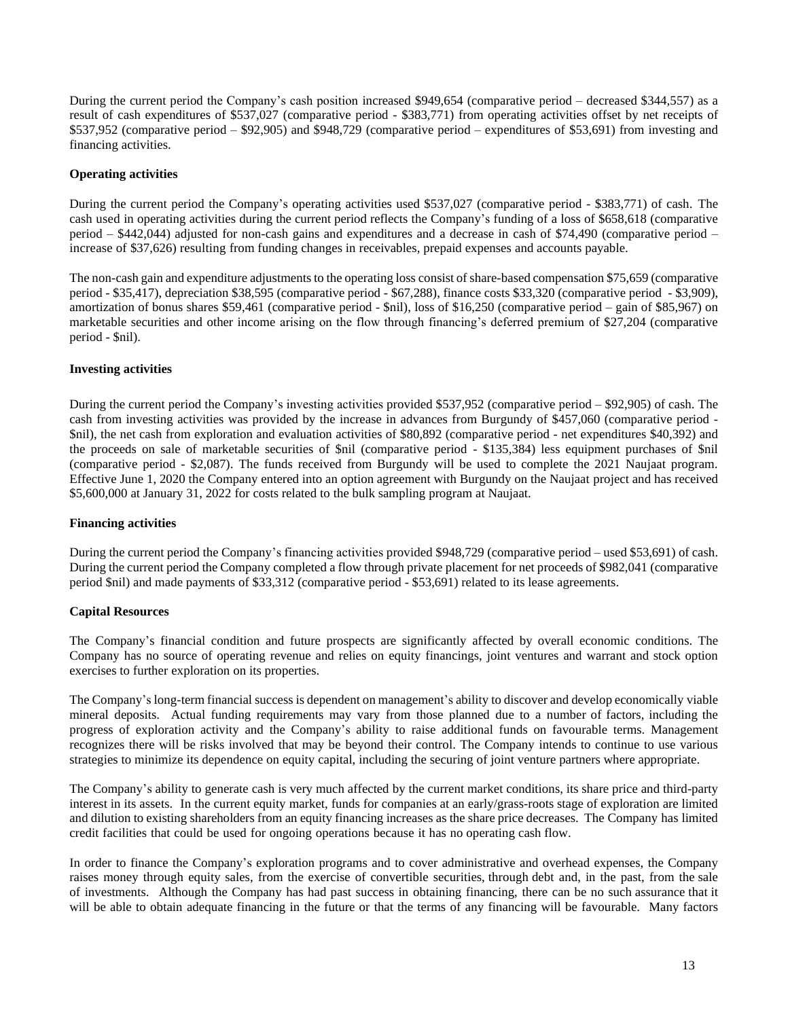During the current period the Company's cash position increased \$949,654 (comparative period – decreased \$344,557) as a result of cash expenditures of \$537,027 (comparative period - \$383,771) from operating activities offset by net receipts of \$537,952 (comparative period – \$92,905) and \$948,729 (comparative period – expenditures of \$53,691) from investing and financing activities.

## **Operating activities**

During the current period the Company's operating activities used \$537,027 (comparative period - \$383,771) of cash. The cash used in operating activities during the current period reflects the Company's funding of a loss of \$658,618 (comparative period – \$442,044) adjusted for non-cash gains and expenditures and a decrease in cash of \$74,490 (comparative period – increase of \$37,626) resulting from funding changes in receivables, prepaid expenses and accounts payable.

The non-cash gain and expenditure adjustments to the operating loss consist of share-based compensation \$75,659 (comparative period - \$35,417), depreciation \$38,595 (comparative period - \$67,288), finance costs \$33,320 (comparative period - \$3,909), amortization of bonus shares \$59,461 (comparative period - \$nil), loss of \$16,250 (comparative period – gain of \$85,967) on marketable securities and other income arising on the flow through financing's deferred premium of \$27,204 (comparative period - \$nil).

## **Investing activities**

During the current period the Company's investing activities provided \$537,952 (comparative period – \$92,905) of cash. The cash from investing activities was provided by the increase in advances from Burgundy of \$457,060 (comparative period - \$nil), the net cash from exploration and evaluation activities of \$80,892 (comparative period - net expenditures \$40,392) and the proceeds on sale of marketable securities of \$nil (comparative period - \$135,384) less equipment purchases of \$nil (comparative period - \$2,087). The funds received from Burgundy will be used to complete the 2021 Naujaat program. Effective June 1, 2020 the Company entered into an option agreement with Burgundy on the Naujaat project and has received \$5,600,000 at January 31, 2022 for costs related to the bulk sampling program at Naujaat.

#### **Financing activities**

During the current period the Company's financing activities provided \$948,729 (comparative period – used \$53,691) of cash. During the current period the Company completed a flow through private placement for net proceeds of \$982,041 (comparative period \$nil) and made payments of \$33,312 (comparative period - \$53,691) related to its lease agreements.

# **Capital Resources**

The Company's financial condition and future prospects are significantly affected by overall economic conditions. The Company has no source of operating revenue and relies on equity financings, joint ventures and warrant and stock option exercises to further exploration on its properties.

The Company's long-term financial success is dependent on management's ability to discover and develop economically viable mineral deposits. Actual funding requirements may vary from those planned due to a number of factors, including the progress of exploration activity and the Company's ability to raise additional funds on favourable terms. Management recognizes there will be risks involved that may be beyond their control. The Company intends to continue to use various strategies to minimize its dependence on equity capital, including the securing of joint venture partners where appropriate.

The Company's ability to generate cash is very much affected by the current market conditions, its share price and third-party interest in its assets. In the current equity market, funds for companies at an early/grass-roots stage of exploration are limited and dilution to existing shareholders from an equity financing increases as the share price decreases. The Company has limited credit facilities that could be used for ongoing operations because it has no operating cash flow.

In order to finance the Company's exploration programs and to cover administrative and overhead expenses, the Company raises money through equity sales, from the exercise of convertible securities, through debt and, in the past, from the sale of investments. Although the Company has had past success in obtaining financing, there can be no such assurance that it will be able to obtain adequate financing in the future or that the terms of any financing will be favourable. Many factors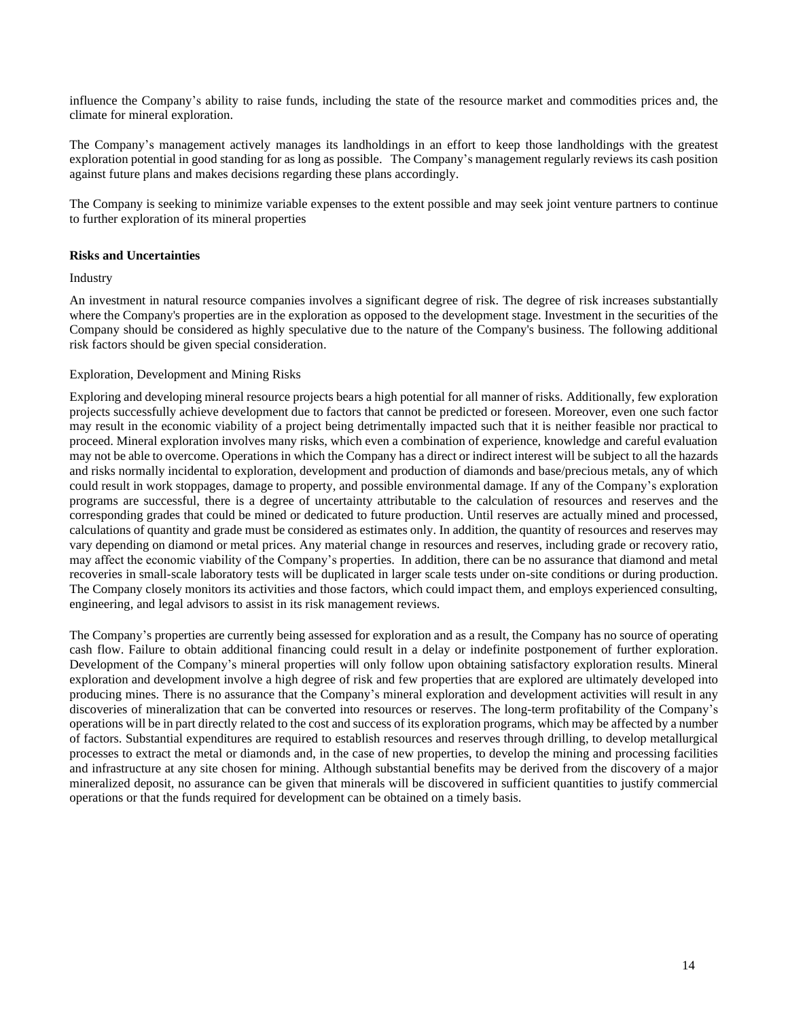influence the Company's ability to raise funds, including the state of the resource market and commodities prices and, the climate for mineral exploration.

The Company's management actively manages its landholdings in an effort to keep those landholdings with the greatest exploration potential in good standing for as long as possible. The Company's management regularly reviews its cash position against future plans and makes decisions regarding these plans accordingly.

The Company is seeking to minimize variable expenses to the extent possible and may seek joint venture partners to continue to further exploration of its mineral properties

## **Risks and Uncertainties**

#### Industry

An investment in natural resource companies involves a significant degree of risk. The degree of risk increases substantially where the Company's properties are in the exploration as opposed to the development stage. Investment in the securities of the Company should be considered as highly speculative due to the nature of the Company's business. The following additional risk factors should be given special consideration.

## Exploration, Development and Mining Risks

Exploring and developing mineral resource projects bears a high potential for all manner of risks. Additionally, few exploration projects successfully achieve development due to factors that cannot be predicted or foreseen. Moreover, even one such factor may result in the economic viability of a project being detrimentally impacted such that it is neither feasible nor practical to proceed. Mineral exploration involves many risks, which even a combination of experience, knowledge and careful evaluation may not be able to overcome. Operations in which the Company has a direct or indirect interest will be subject to all the hazards and risks normally incidental to exploration, development and production of diamonds and base/precious metals, any of which could result in work stoppages, damage to property, and possible environmental damage. If any of the Company's exploration programs are successful, there is a degree of uncertainty attributable to the calculation of resources and reserves and the corresponding grades that could be mined or dedicated to future production. Until reserves are actually mined and processed, calculations of quantity and grade must be considered as estimates only. In addition, the quantity of resources and reserves may vary depending on diamond or metal prices. Any material change in resources and reserves, including grade or recovery ratio, may affect the economic viability of the Company's properties. In addition, there can be no assurance that diamond and metal recoveries in small-scale laboratory tests will be duplicated in larger scale tests under on-site conditions or during production. The Company closely monitors its activities and those factors, which could impact them, and employs experienced consulting, engineering, and legal advisors to assist in its risk management reviews.

The Company's properties are currently being assessed for exploration and as a result, the Company has no source of operating cash flow. Failure to obtain additional financing could result in a delay or indefinite postponement of further exploration. Development of the Company's mineral properties will only follow upon obtaining satisfactory exploration results. Mineral exploration and development involve a high degree of risk and few properties that are explored are ultimately developed into producing mines. There is no assurance that the Company's mineral exploration and development activities will result in any discoveries of mineralization that can be converted into resources or reserves. The long-term profitability of the Company's operations will be in part directly related to the cost and success of its exploration programs, which may be affected by a number of factors. Substantial expenditures are required to establish resources and reserves through drilling, to develop metallurgical processes to extract the metal or diamonds and, in the case of new properties, to develop the mining and processing facilities and infrastructure at any site chosen for mining. Although substantial benefits may be derived from the discovery of a major mineralized deposit, no assurance can be given that minerals will be discovered in sufficient quantities to justify commercial operations or that the funds required for development can be obtained on a timely basis.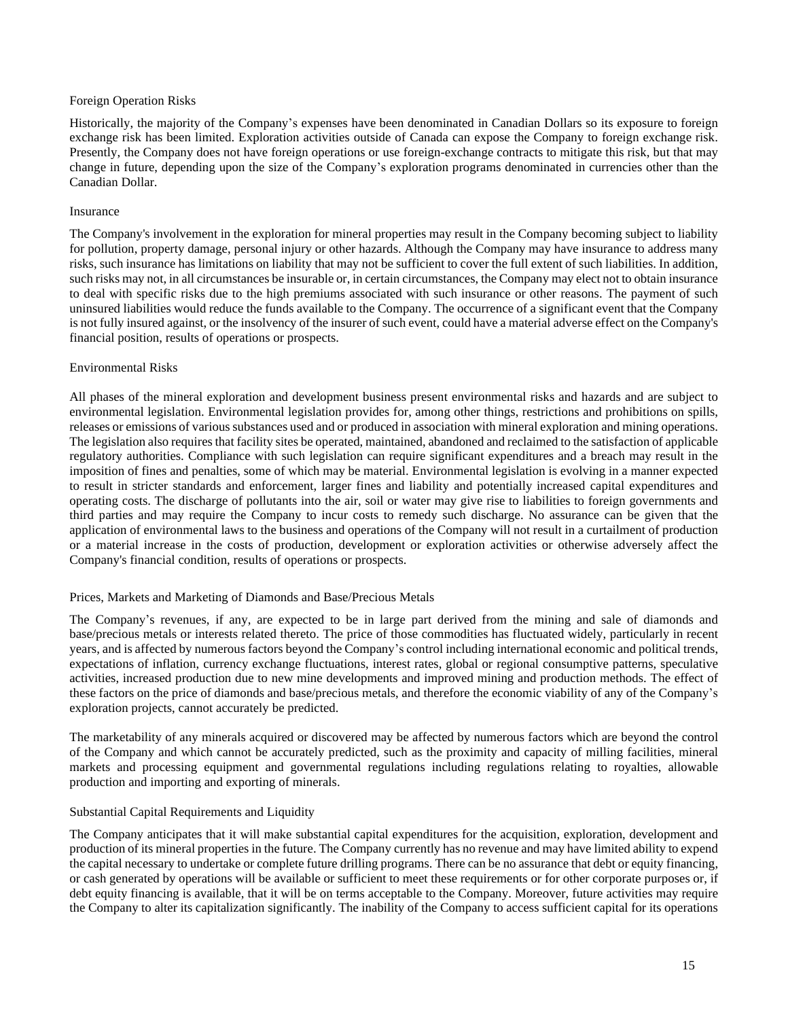#### Foreign Operation Risks

Historically, the majority of the Company's expenses have been denominated in Canadian Dollars so its exposure to foreign exchange risk has been limited. Exploration activities outside of Canada can expose the Company to foreign exchange risk. Presently, the Company does not have foreign operations or use foreign-exchange contracts to mitigate this risk, but that may change in future, depending upon the size of the Company's exploration programs denominated in currencies other than the Canadian Dollar.

## Insurance

The Company's involvement in the exploration for mineral properties may result in the Company becoming subject to liability for pollution, property damage, personal injury or other hazards. Although the Company may have insurance to address many risks, such insurance has limitations on liability that may not be sufficient to cover the full extent of such liabilities. In addition, such risks may not, in all circumstances be insurable or, in certain circumstances, the Company may elect not to obtain insurance to deal with specific risks due to the high premiums associated with such insurance or other reasons. The payment of such uninsured liabilities would reduce the funds available to the Company. The occurrence of a significant event that the Company is not fully insured against, or the insolvency of the insurer of such event, could have a material adverse effect on the Company's financial position, results of operations or prospects.

## Environmental Risks

All phases of the mineral exploration and development business present environmental risks and hazards and are subject to environmental legislation. Environmental legislation provides for, among other things, restrictions and prohibitions on spills, releases or emissions of varioussubstances used and or produced in association with mineral exploration and mining operations. The legislation also requires that facility sites be operated, maintained, abandoned and reclaimed to the satisfaction of applicable regulatory authorities. Compliance with such legislation can require significant expenditures and a breach may result in the imposition of fines and penalties, some of which may be material. Environmental legislation is evolving in a manner expected to result in stricter standards and enforcement, larger fines and liability and potentially increased capital expenditures and operating costs. The discharge of pollutants into the air, soil or water may give rise to liabilities to foreign governments and third parties and may require the Company to incur costs to remedy such discharge. No assurance can be given that the application of environmental laws to the business and operations of the Company will not result in a curtailment of production or a material increase in the costs of production, development or exploration activities or otherwise adversely affect the Company's financial condition, results of operations or prospects.

# Prices, Markets and Marketing of Diamonds and Base/Precious Metals

The Company's revenues, if any, are expected to be in large part derived from the mining and sale of diamonds and base/precious metals or interests related thereto. The price of those commodities has fluctuated widely, particularly in recent years, and is affected by numerous factors beyond the Company's control including international economic and political trends, expectations of inflation, currency exchange fluctuations, interest rates, global or regional consumptive patterns, speculative activities, increased production due to new mine developments and improved mining and production methods. The effect of these factors on the price of diamonds and base/precious metals, and therefore the economic viability of any of the Company's exploration projects, cannot accurately be predicted.

The marketability of any minerals acquired or discovered may be affected by numerous factors which are beyond the control of the Company and which cannot be accurately predicted, such as the proximity and capacity of milling facilities, mineral markets and processing equipment and governmental regulations including regulations relating to royalties, allowable production and importing and exporting of minerals.

# Substantial Capital Requirements and Liquidity

The Company anticipates that it will make substantial capital expenditures for the acquisition, exploration, development and production of its mineral properties in the future. The Company currently has no revenue and may have limited ability to expend the capital necessary to undertake or complete future drilling programs. There can be no assurance that debt or equity financing, or cash generated by operations will be available or sufficient to meet these requirements or for other corporate purposes or, if debt equity financing is available, that it will be on terms acceptable to the Company. Moreover, future activities may require the Company to alter its capitalization significantly. The inability of the Company to access sufficient capital for its operations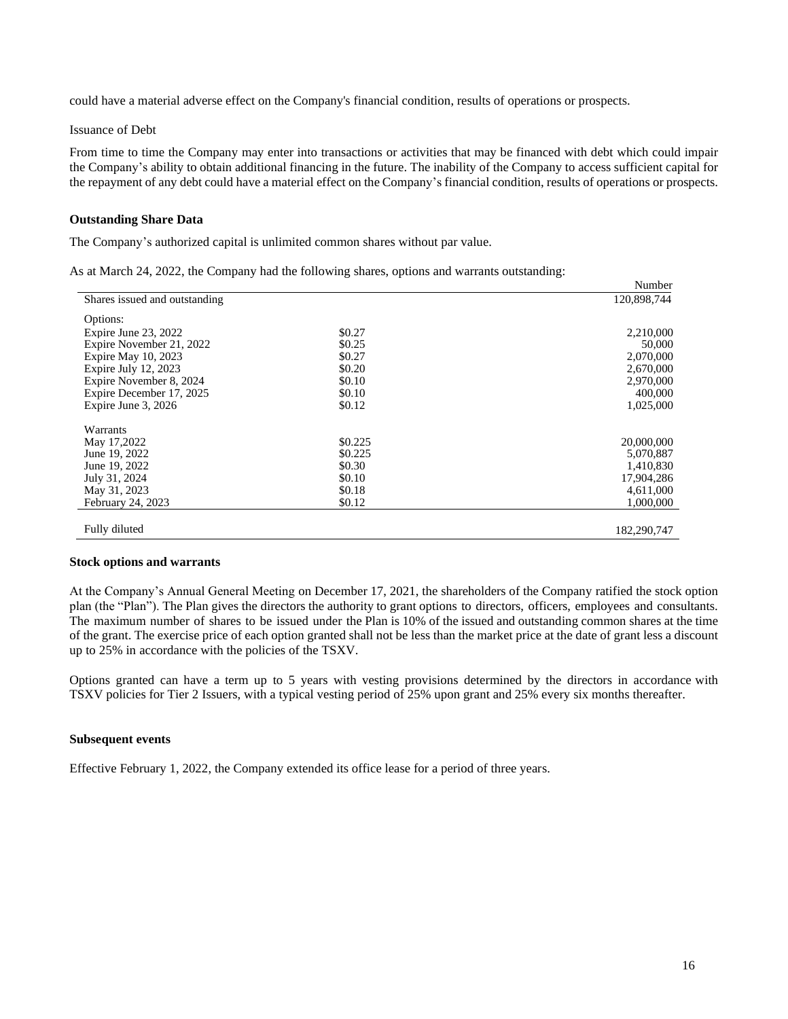could have a material adverse effect on the Company's financial condition, results of operations or prospects.

#### Issuance of Debt

From time to time the Company may enter into transactions or activities that may be financed with debt which could impair the Company's ability to obtain additional financing in the future. The inability of the Company to access sufficient capital for the repayment of any debt could have a material effect on the Company's financial condition, results of operations or prospects.

### **Outstanding Share Data**

The Company's authorized capital is unlimited common shares without par value.

|  | As at March 24, 2022, the Company had the following shares, options and warrants outstanding: |
|--|-----------------------------------------------------------------------------------------------|
|  |                                                                                               |

|                               |         | Number      |
|-------------------------------|---------|-------------|
| Shares issued and outstanding |         | 120,898,744 |
| Options:                      |         |             |
| Expire June 23, 2022          | \$0.27  | 2,210,000   |
| Expire November 21, 2022      | \$0.25  | 50,000      |
| Expire May 10, 2023           | \$0.27  | 2,070,000   |
| Expire July 12, 2023          | \$0.20  | 2,670,000   |
| Expire November 8, 2024       | \$0.10  | 2,970,000   |
| Expire December 17, 2025      | \$0.10  | 400,000     |
| Expire June 3, 2026           | \$0.12  | 1,025,000   |
| Warrants                      |         |             |
| May 17,2022                   | \$0.225 | 20,000,000  |
| June 19, 2022                 | \$0.225 | 5,070,887   |
| June 19, 2022                 | \$0.30  | 1,410,830   |
| July 31, 2024                 | \$0.10  | 17,904,286  |
| May 31, 2023                  | \$0.18  | 4,611,000   |
| February 24, 2023             | \$0.12  | 1,000,000   |
| Fully diluted                 |         | 182,290,747 |

#### **Stock options and warrants**

At the Company's Annual General Meeting on December 17, 2021, the shareholders of the Company ratified the stock option plan (the "Plan"). The Plan gives the directors the authority to grant options to directors, officers, employees and consultants. The maximum number of shares to be issued under the Plan is 10% of the issued and outstanding common shares at the time of the grant. The exercise price of each option granted shall not be less than the market price at the date of grant less a discount up to 25% in accordance with the policies of the TSXV.

Options granted can have a term up to 5 years with vesting provisions determined by the directors in accordance with TSXV policies for Tier 2 Issuers, with a typical vesting period of 25% upon grant and 25% every six months thereafter.

## **Subsequent events**

Effective February 1, 2022, the Company extended its office lease for a period of three years.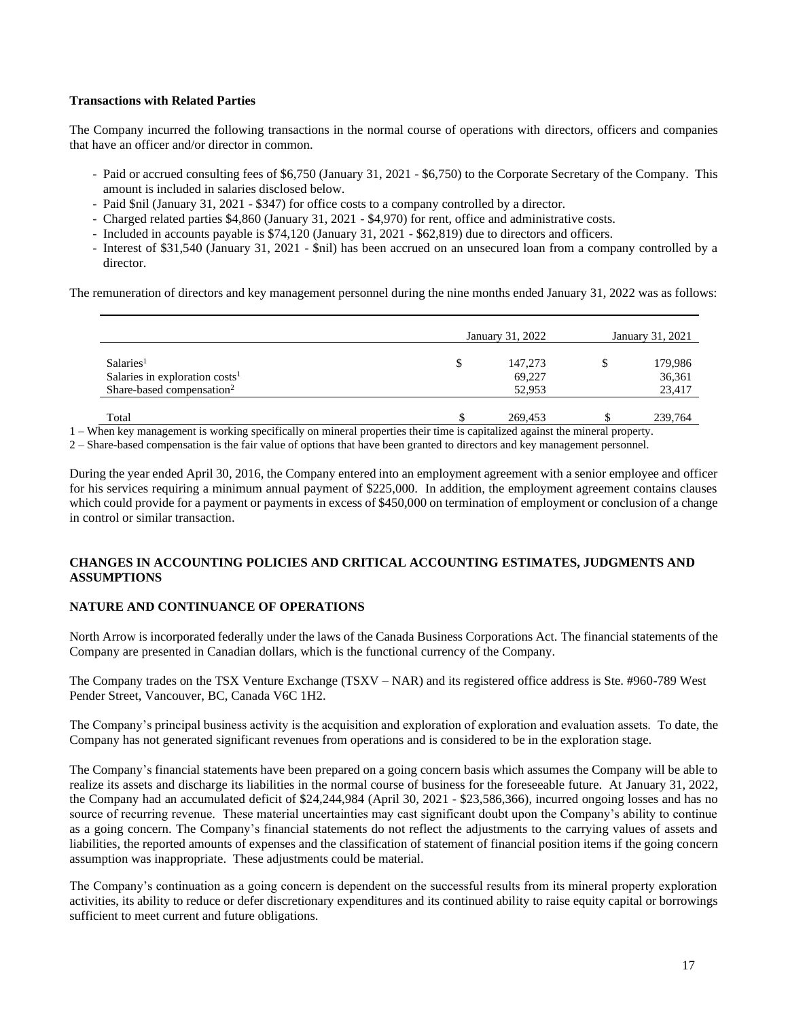# **Transactions with Related Parties**

The Company incurred the following transactions in the normal course of operations with directors, officers and companies that have an officer and/or director in common.

- Paid or accrued consulting fees of \$6,750 (January 31, 2021 \$6,750) to the Corporate Secretary of the Company. This amount is included in salaries disclosed below.
- Paid \$nil (January 31, 2021 \$347) for office costs to a company controlled by a director.
- Charged related parties \$4,860 (January 31, 2021 \$4,970) for rent, office and administrative costs.
- Included in accounts payable is \$74,120 (January 31, 2021 \$62,819) due to directors and officers.
- Interest of \$31,540 (January 31, 2021 \$nil) has been accrued on an unsecured loan from a company controlled by a director.

The remuneration of directors and key management personnel during the nine months ended January 31, 2022 was as follows:

|                                            | January 31, 2022 |         |  | January 31, 2021 |  |  |
|--------------------------------------------|------------------|---------|--|------------------|--|--|
| Salaries <sup>1</sup>                      | \$               | 147,273 |  | 179,986          |  |  |
| Salaries in exploration costs <sup>1</sup> |                  | 69,227  |  | 36,361           |  |  |
| Share-based compensation <sup>2</sup>      |                  | 52,953  |  | 23,417           |  |  |
|                                            |                  |         |  |                  |  |  |
| Total                                      |                  | 269,453 |  | 239,764          |  |  |

1 – When key management is working specifically on mineral properties their time is capitalized against the mineral property.

2 – Share-based compensation is the fair value of options that have been granted to directors and key management personnel.

During the year ended April 30, 2016, the Company entered into an employment agreement with a senior employee and officer for his services requiring a minimum annual payment of \$225,000. In addition, the employment agreement contains clauses which could provide for a payment or payments in excess of \$450,000 on termination of employment or conclusion of a change in control or similar transaction.

# **CHANGES IN ACCOUNTING POLICIES AND CRITICAL ACCOUNTING ESTIMATES, JUDGMENTS AND ASSUMPTIONS**

# **NATURE AND CONTINUANCE OF OPERATIONS**

North Arrow is incorporated federally under the laws of the Canada Business Corporations Act. The financial statements of the Company are presented in Canadian dollars, which is the functional currency of the Company.

The Company trades on the TSX Venture Exchange (TSXV – NAR) and its registered office address is Ste. #960-789 West Pender Street, Vancouver, BC, Canada V6C 1H2.

The Company's principal business activity is the acquisition and exploration of exploration and evaluation assets. To date, the Company has not generated significant revenues from operations and is considered to be in the exploration stage.

The Company's financial statements have been prepared on a going concern basis which assumes the Company will be able to realize its assets and discharge its liabilities in the normal course of business for the foreseeable future. At January 31, 2022, the Company had an accumulated deficit of \$24,244,984 (April 30, 2021 - \$23,586,366), incurred ongoing losses and has no source of recurring revenue. These material uncertainties may cast significant doubt upon the Company's ability to continue as a going concern. The Company's financial statements do not reflect the adjustments to the carrying values of assets and liabilities, the reported amounts of expenses and the classification of statement of financial position items if the going concern assumption was inappropriate. These adjustments could be material.

The Company's continuation as a going concern is dependent on the successful results from its mineral property exploration activities, its ability to reduce or defer discretionary expenditures and its continued ability to raise equity capital or borrowings sufficient to meet current and future obligations.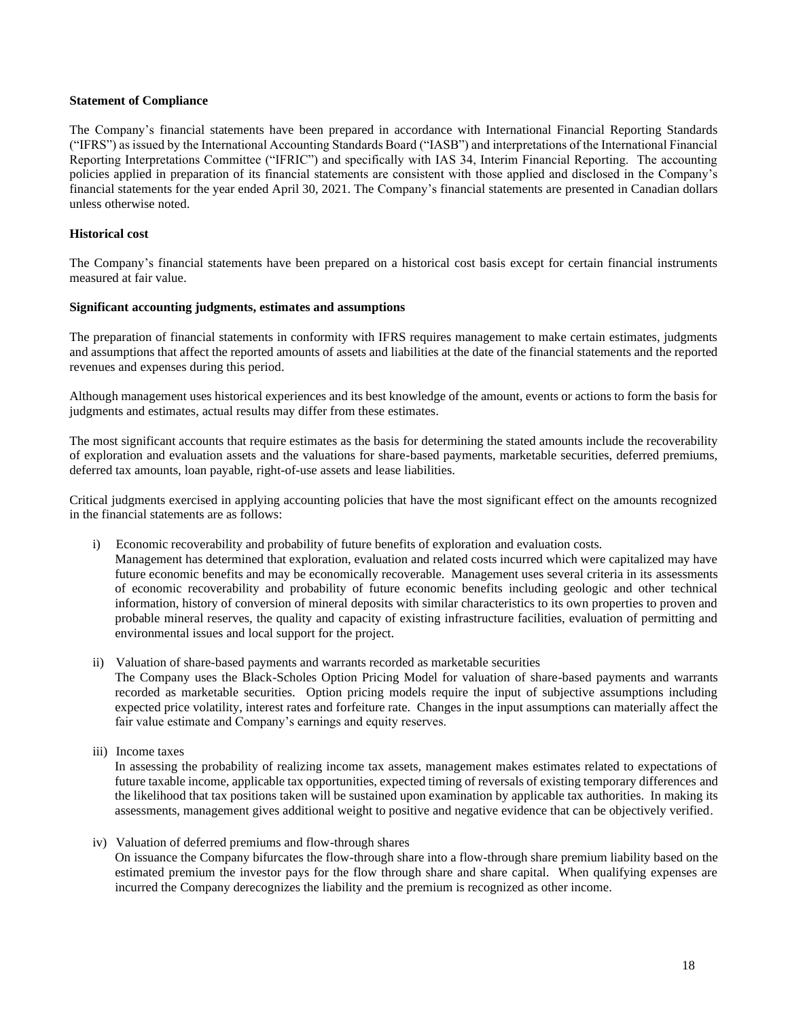#### **Statement of Compliance**

The Company's financial statements have been prepared in accordance with International Financial Reporting Standards ("IFRS") as issued by the International Accounting Standards Board ("IASB") and interpretations of the International Financial Reporting Interpretations Committee ("IFRIC") and specifically with IAS 34, Interim Financial Reporting. The accounting policies applied in preparation of its financial statements are consistent with those applied and disclosed in the Company's financial statements for the year ended April 30, 2021. The Company's financial statements are presented in Canadian dollars unless otherwise noted.

## **Historical cost**

The Company's financial statements have been prepared on a historical cost basis except for certain financial instruments measured at fair value.

# **Significant accounting judgments, estimates and assumptions**

The preparation of financial statements in conformity with IFRS requires management to make certain estimates, judgments and assumptions that affect the reported amounts of assets and liabilities at the date of the financial statements and the reported revenues and expenses during this period.

Although management uses historical experiences and its best knowledge of the amount, events or actions to form the basis for judgments and estimates, actual results may differ from these estimates.

The most significant accounts that require estimates as the basis for determining the stated amounts include the recoverability of exploration and evaluation assets and the valuations for share-based payments, marketable securities, deferred premiums, deferred tax amounts, loan payable, right-of-use assets and lease liabilities.

Critical judgments exercised in applying accounting policies that have the most significant effect on the amounts recognized in the financial statements are as follows:

i) Economic recoverability and probability of future benefits of exploration and evaluation costs*.* 

Management has determined that exploration, evaluation and related costs incurred which were capitalized may have future economic benefits and may be economically recoverable. Management uses several criteria in its assessments of economic recoverability and probability of future economic benefits including geologic and other technical information, history of conversion of mineral deposits with similar characteristics to its own properties to proven and probable mineral reserves, the quality and capacity of existing infrastructure facilities, evaluation of permitting and environmental issues and local support for the project.

- ii) Valuation of share-based payments and warrants recorded as marketable securities The Company uses the Black-Scholes Option Pricing Model for valuation of share-based payments and warrants recorded as marketable securities. Option pricing models require the input of subjective assumptions including expected price volatility, interest rates and forfeiture rate. Changes in the input assumptions can materially affect the
- iii) Income taxes

In assessing the probability of realizing income tax assets, management makes estimates related to expectations of future taxable income, applicable tax opportunities, expected timing of reversals of existing temporary differences and the likelihood that tax positions taken will be sustained upon examination by applicable tax authorities. In making its assessments, management gives additional weight to positive and negative evidence that can be objectively verified.

iv) Valuation of deferred premiums and flow-through shares

fair value estimate and Company's earnings and equity reserves.

On issuance the Company bifurcates the flow-through share into a flow-through share premium liability based on the estimated premium the investor pays for the flow through share and share capital. When qualifying expenses are incurred the Company derecognizes the liability and the premium is recognized as other income.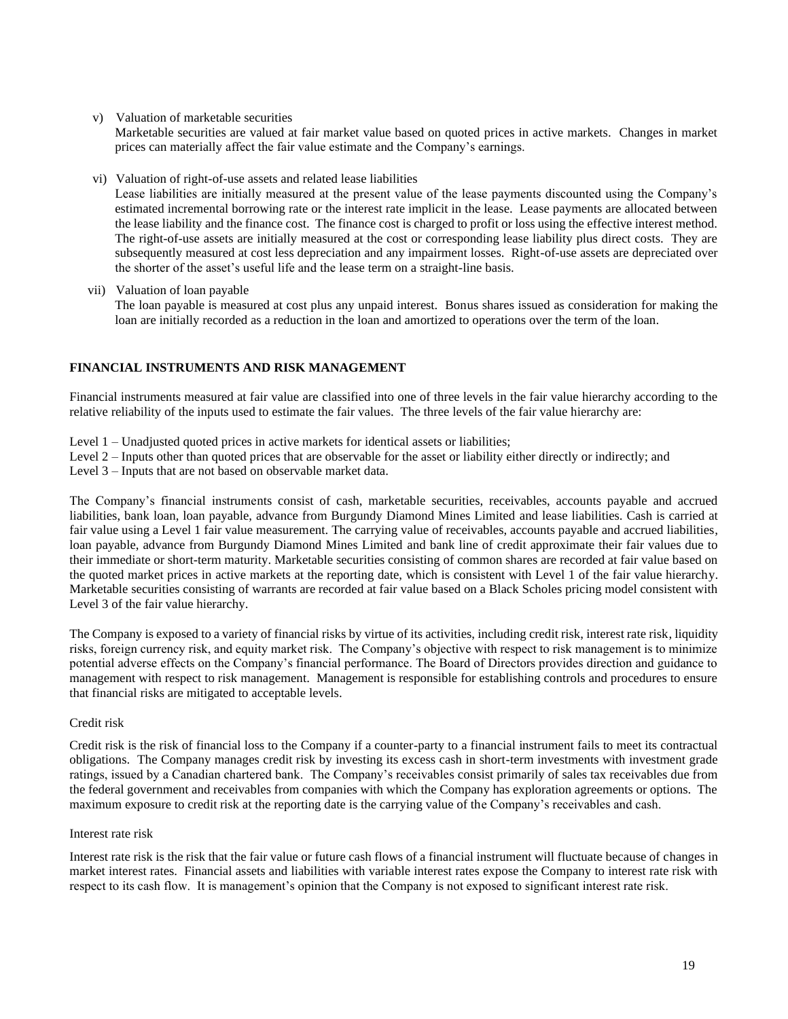v) Valuation of marketable securities

Marketable securities are valued at fair market value based on quoted prices in active markets. Changes in market prices can materially affect the fair value estimate and the Company's earnings.

vi) Valuation of right-of-use assets and related lease liabilities

Lease liabilities are initially measured at the present value of the lease payments discounted using the Company's estimated incremental borrowing rate or the interest rate implicit in the lease. Lease payments are allocated between the lease liability and the finance cost. The finance cost is charged to profit or loss using the effective interest method. The right-of-use assets are initially measured at the cost or corresponding lease liability plus direct costs. They are subsequently measured at cost less depreciation and any impairment losses. Right-of-use assets are depreciated over the shorter of the asset's useful life and the lease term on a straight-line basis.

vii) Valuation of loan payable

The loan payable is measured at cost plus any unpaid interest. Bonus shares issued as consideration for making the loan are initially recorded as a reduction in the loan and amortized to operations over the term of the loan.

# **FINANCIAL INSTRUMENTS AND RISK MANAGEMENT**

Financial instruments measured at fair value are classified into one of three levels in the fair value hierarchy according to the relative reliability of the inputs used to estimate the fair values. The three levels of the fair value hierarchy are:

- Level 1 Unadjusted quoted prices in active markets for identical assets or liabilities;
- Level 2 Inputs other than quoted prices that are observable for the asset or liability either directly or indirectly; and
- Level 3 Inputs that are not based on observable market data.

The Company's financial instruments consist of cash, marketable securities, receivables, accounts payable and accrued liabilities, bank loan, loan payable, advance from Burgundy Diamond Mines Limited and lease liabilities. Cash is carried at fair value using a Level 1 fair value measurement. The carrying value of receivables, accounts payable and accrued liabilities, loan payable, advance from Burgundy Diamond Mines Limited and bank line of credit approximate their fair values due to their immediate or short-term maturity. Marketable securities consisting of common shares are recorded at fair value based on the quoted market prices in active markets at the reporting date, which is consistent with Level 1 of the fair value hierarchy. Marketable securities consisting of warrants are recorded at fair value based on a Black Scholes pricing model consistent with Level 3 of the fair value hierarchy.

The Company is exposed to a variety of financial risks by virtue of its activities, including credit risk, interest rate risk, liquidity risks, foreign currency risk, and equity market risk. The Company's objective with respect to risk management is to minimize potential adverse effects on the Company's financial performance. The Board of Directors provides direction and guidance to management with respect to risk management. Management is responsible for establishing controls and procedures to ensure that financial risks are mitigated to acceptable levels.

# Credit risk

Credit risk is the risk of financial loss to the Company if a counter-party to a financial instrument fails to meet its contractual obligations. The Company manages credit risk by investing its excess cash in short-term investments with investment grade ratings, issued by a Canadian chartered bank. The Company's receivables consist primarily of sales tax receivables due from the federal government and receivables from companies with which the Company has exploration agreements or options. The maximum exposure to credit risk at the reporting date is the carrying value of the Company's receivables and cash.

#### Interest rate risk

Interest rate risk is the risk that the fair value or future cash flows of a financial instrument will fluctuate because of changes in market interest rates. Financial assets and liabilities with variable interest rates expose the Company to interest rate risk with respect to its cash flow. It is management's opinion that the Company is not exposed to significant interest rate risk.